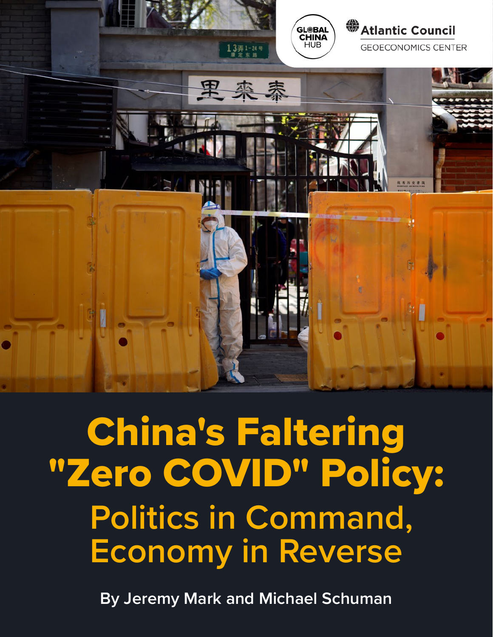

China's Faltering "Zero COVID" Policy: **Politics in Command, Economy in Reverse**

**By Jeremy Mark and Michael Schuman**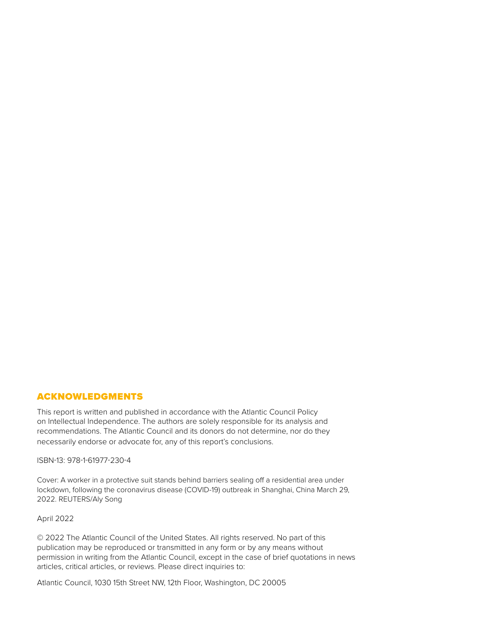#### ACKNOWLEDGMENTS

This report is written and published in accordance with the Atlantic Council Policy on Intellectual Independence. The authors are solely responsible for its analysis and recommendations. The Atlantic Council and its donors do not determine, nor do they necessarily endorse or advocate for, any of this report's conclusions.

#### ISBN-13: 978-1-61977-230-4

Cover: A worker in a protective suit stands behind barriers sealing off a residential area under lockdown, following the coronavirus disease (COVID-19) outbreak in Shanghai, China March 29, 2022. REUTERS/Aly Song

April 2022

© 2022 The Atlantic Council of the United States. All rights reserved. No part of this publication may be reproduced or transmitted in any form or by any means without permission in writing from the Atlantic Council, except in the case of brief quotations in news articles, critical articles, or reviews. Please direct inquiries to:

Atlantic Council, 1030 15th Street NW, 12th Floor, Washington, DC 20005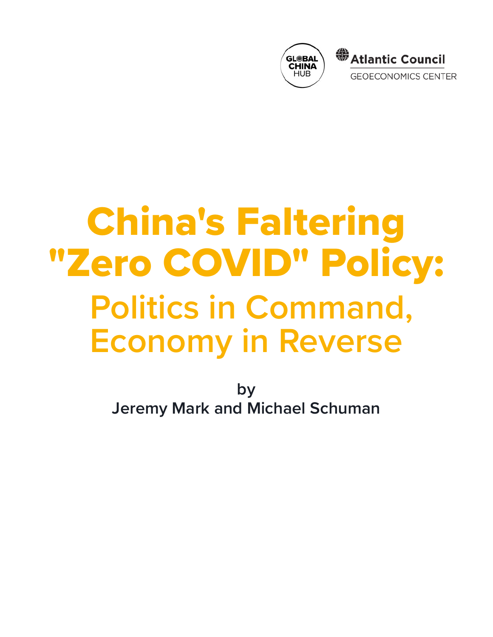

# China's Faltering "Zero COVID" Policy: **Politics in Command, Economy in Reverse**

**by Jeremy Mark and Michael Schuman**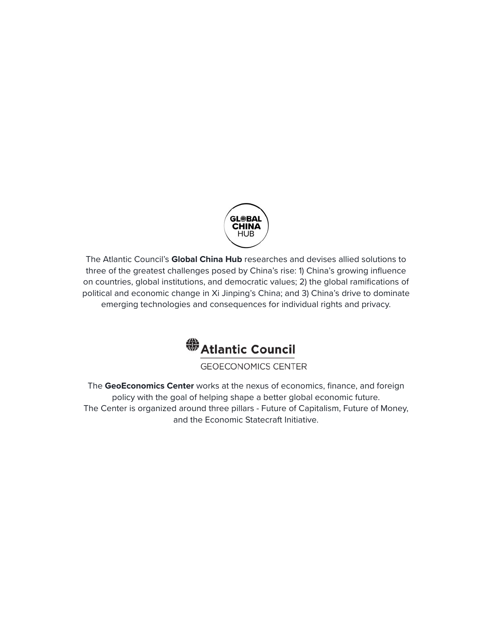

The Atlantic Council's **Global China Hub** researches and devises allied solutions to three of the greatest challenges posed by China's rise: 1) China's growing influence on countries, global institutions, and democratic values; 2) the global ramifications of political and economic change in Xi Jinping's China; and 3) China's drive to dominate emerging technologies and consequences for individual rights and privacy.



**GEOECONOMICS CENTER** 

The **GeoEconomics Center** works at the nexus of economics, finance, and foreign policy with the goal of helping shape a better global economic future. The Center is organized around three pillars - Future of Capitalism, Future of Money, and the Economic Statecraft Initiative.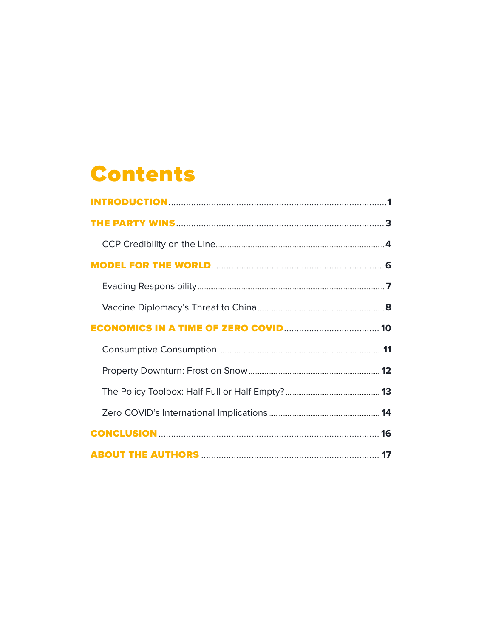### **Contents**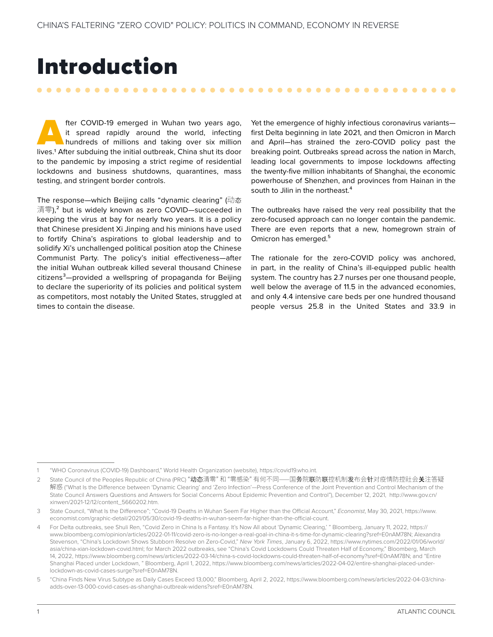### <span id="page-5-0"></span>Introduction

. . . . . . . . . . .

fter COVID-19 emerged in Wuhan two years ago, it spread rapidly around the world, infecting hundreds of millions and taking over six million lives.<sup>1</sup> After subduing the initial outbreak, China shut its door it spread rapidly around the world, infecting hundreds of millions and taking over six million to the pandemic by imposing a strict regime of residential lockdowns and business shutdowns, quarantines, mass testing, and stringent border controls.

The response—which Beijing calls "dynamic clearing" (动态 清零),<sup>2</sup> but is widely known as zero COVID—succeeded in keeping the virus at bay for nearly two years. It is a policy that Chinese president Xi Jinping and his minions have used to fortify China's aspirations to global leadership and to solidify Xi's unchallenged political position atop the Chinese Communist Party. The policy's initial effectiveness—after the initial Wuhan outbreak killed several thousand Chinese citizens3—provided a wellspring of propaganda for Beijing to declare the superiority of its policies and political system as competitors, most notably the United States, struggled at times to contain the disease.

Yet the emergence of highly infectious coronavirus variants first Delta beginning in late 2021, and then Omicron in March and April—has strained the zero-COVID policy past the breaking point. Outbreaks spread across the nation in March, leading local governments to impose lockdowns affecting the twenty-five million inhabitants of Shanghai, the economic powerhouse of Shenzhen, and provinces from Hainan in the south to Jilin in the northeast.<sup>4</sup>

The outbreaks have raised the very real possibility that the zero-focused approach can no longer contain the pandemic. There are even reports that a new, homegrown strain of Omicron has emerged.<sup>5</sup>

The rationale for the zero-COVID policy was anchored, in part, in the reality of China's ill-equipped public health system. The country has 2.7 nurses per one thousand people, well below the average of 11.5 in the advanced economies, and only 4.4 intensive care beds per one hundred thousand people versus 25.8 in the United States and 33.9 in

<sup>1</sup> "WHO Coronavirus (COVID-19) Dashboard," World Health Organization (website), [https://covid19.who.int.](https://covid19.who.int)

<sup>2</sup> State Council of the Peoples Republic of China (PRC) "动态清零"和 "零感染" 有何不同——国务院联防联控机制发布会针对疫情防控社会关注答疑 解惑 ("What Is the Difference between 'Dynamic Clearing' and 'Zero Infection'—Press Conference of the Joint Prevention and Control Mechanism of the State Council Answers Questions and Answers for Social Concerns About Epidemic Prevention and Control"), December 12, 2021, [http://www.gov.cn/](http://www.gov.cn/xinwen/2021-12/12/content_5660202.htm) [xinwen/2021-12/12/content\\_5660202.htm.](http://www.gov.cn/xinwen/2021-12/12/content_5660202.htm)

<sup>3</sup> State Council, "What Is the Difference"; "Covid-19 Deaths in Wuhan Seem Far Higher than the Official Account," *Economist*, May 30, 2021, [https://www.](https://www.economist.com/graphic-detail/2021/05/30/covid-19-deaths-in-wuhan-seem-far-higher-than-the-official-count) [economist.com/graphic-detail/2021/05/30/covid-19-deaths-in-wuhan-seem-far-higher-than-the-official-count](https://www.economist.com/graphic-detail/2021/05/30/covid-19-deaths-in-wuhan-seem-far-higher-than-the-official-count).

<sup>4</sup> For Delta outbreaks, see Shuli Ren, "Covid Zero in China Is a Fantasy. It's Now All about 'Dynamic Clearing,' " Bloomberg, January 11, 2022, [https://](https://www.bloomberg.com/opinion/articles/2022-01-11/covid-zero-is-no-longer-a-real-goal-in-china-it-s-time-for-dynamic-clearing?sref=E0nAM78N) [www.bloomberg.com/opinion/articles/2022-01-11/covid-zero-is-no-longer-a-real-goal-in-china-it-s-time-for-dynamic-clearing?sref=E0nAM78N](https://www.bloomberg.com/opinion/articles/2022-01-11/covid-zero-is-no-longer-a-real-goal-in-china-it-s-time-for-dynamic-clearing?sref=E0nAM78N); Alexandra Stevenson, "China's Lockdown Shows Stubborn Resolve on Zero-Covid," *New York Times*, January 6, 2022, [https://www.nytimes.com/2022/01/06/world/](https://www.nytimes.com/2022/01/06/world/asia/china-xian-lockdown-covid.html) [asia/china-xian-lockdown-covid.html](https://www.nytimes.com/2022/01/06/world/asia/china-xian-lockdown-covid.html); for March 2022 outbreaks, see "China's Covid Lockdowns Could Threaten Half of Economy," Bloomberg, March 14, 2022,<https://www.bloomberg.com/news/articles/2022-03-14/china-s-covid-lockdowns-could-threaten-half-of-economy?sref=E0nAM78N>; and "Entire Shanghai Placed under Lockdown, " Bloomberg, April 1, 2022, [https://www.bloomberg.com/news/articles/2022-04-02/entire-shanghai-placed-under](https://www.bloomberg.com/news/articles/2022-04-02/entire-shanghai-placed-under-lockdown-as-covid-cases-surge?sref=E0nAM78N)[lockdown-as-covid-cases-surge?sref=E0nAM78N](https://www.bloomberg.com/news/articles/2022-04-02/entire-shanghai-placed-under-lockdown-as-covid-cases-surge?sref=E0nAM78N).

<sup>5</sup> "China Finds New Virus Subtype as Daily Cases Exceed 13,000," Bloomberg, April 2, 2022, [https://www.bloomberg.com/news/articles/2022-04-03/china](https://www.bloomberg.com/news/articles/2022-04-03/china-adds-over-13-000-covid-cases-as-shanghai-outbreak-widens?sref=E0nAM78N)[adds-over-13-000-covid-cases-as-shanghai-outbreak-widens?sref=E0nAM78N](https://www.bloomberg.com/news/articles/2022-04-03/china-adds-over-13-000-covid-cases-as-shanghai-outbreak-widens?sref=E0nAM78N).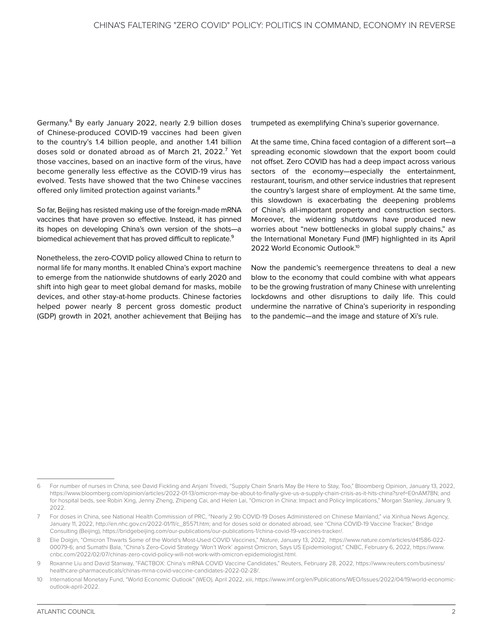Germany.6 By early January 2022, nearly 2.9 billion doses of Chinese-produced COVID-19 vaccines had been given to the country's 1.4 billion people, and another 1.41 billion doses sold or donated abroad as of March 21, 2022.<sup>7</sup> Yet those vaccines, based on an inactive form of the virus, have become generally less effective as the COVID-19 virus has evolved. Tests have showed that the two Chinese vaccines offered only limited protection against variants.<sup>8</sup>

So far, Beijing has resisted making use of the foreign-made mRNA vaccines that have proven so effective. Instead, it has pinned its hopes on developing China's own version of the shots—a biomedical achievement that has proved difficult to replicate.<sup>9</sup>

Nonetheless, the zero-COVID policy allowed China to return to normal life for many months. It enabled China's export machine to emerge from the nationwide shutdowns of early 2020 and shift into high gear to meet global demand for masks, mobile devices, and other stay-at-home products. Chinese factories helped power nearly 8 percent gross domestic product (GDP) growth in 2021, another achievement that Beijing has

trumpeted as exemplifying China's superior governance.

At the same time, China faced contagion of a different sort—a spreading economic slowdown that the export boom could not offset. Zero COVID has had a deep impact across various sectors of the economy—especially the entertainment, restaurant, tourism, and other service industries that represent the country's largest share of employment. At the same time, this slowdown is exacerbating the deepening problems of China's all-important property and construction sectors. Moreover, the widening shutdowns have produced new worries about "new bottlenecks in global supply chains," as the International Monetary Fund (IMF) highlighted in its April 2022 World Economic Outlook.10

Now the pandemic's reemergence threatens to deal a new blow to the economy that could combine with what appears to be the growing frustration of many Chinese with unrelenting lockdowns and other disruptions to daily life. This could undermine the narrative of China's superiority in responding to the pandemic—and the image and stature of Xi's rule.

<sup>6</sup> For number of nurses in China, see David Fickling and Anjani Trivedi, "Supply Chain Snarls May Be Here to Stay, Too," Bloomberg Opinion, January 13, 2022, [https://www.bloomberg.com/opinion/articles/2022-01-13/omicron-may-be-about-to-finally-give-us-a-supply-chain-crisis-as-it-hits-china?sref=E0nAM78N;](https://www.bloomberg.com/opinion/articles/2022-01-13/omicron-may-be-about-to-finally-give-us-a-supply-chain-crisis-as-it-hits-china?sref=E0nAM78N) and for hospital beds, see Robin Xing, Jenny Zheng, Zhipeng Cai, and Helen Lai, "Omicron in China: Impact and Policy Implications," Morgan Stanley, January 9, 2022.

<sup>7</sup> For doses in China, see National Health Commission of PRC, "Nearly 2.9b COVID-19 Doses Administered on Chinese Mainland," via Xinhua News Agency, January 11, 2022, [http://en.nhc.gov.cn/2022-01/11/c\\_85571.htm;](http://en.nhc.gov.cn/2022-01/11/c_85571.htm) and for doses sold or donated abroad, see "China COVID-19 Vaccine Tracker," Bridge Consulting (Beijing),<https://bridgebeijing.com/our-publications/our-publications-1/china-covid-19-vaccines-tracker/>.

<sup>8</sup> Elie Dolgin, "Omicron Thwarts Some of the World's Most-Used COVID Vaccines," *Nature*, January 13, 2022, [https://www.nature.com/articles/d41586-022-](https://www.nature.com/articles/d41586-022-00079-6) [00079-6](https://www.nature.com/articles/d41586-022-00079-6); and Sumathi Bala, "China's Zero-Covid Strategy 'Won't Work' against Omicron, Says US Epidemiologist," CNBC, February 6, 2022, [https://www.](https://www.cnbc.com/2022/02/07/chinas-zero-covid-policy-will-not-work-with-omicron-epidemiologist.html) [cnbc.com/2022/02/07/chinas-zero-covid-policy-will-not-work-with-omicron-epidemiologist.html](https://www.cnbc.com/2022/02/07/chinas-zero-covid-policy-will-not-work-with-omicron-epidemiologist.html).

Roxanne Liu and David Stanway, "FACTBOX: China's mRNA COVID Vaccine Candidates," Reuters, February 28, 2022, [https://www.reuters.com/business/](https://www.reuters.com/business/healthcare-pharmaceuticals/chinas-mrna-covid-vaccine-candidates-2022-02-28/) [healthcare-pharmaceuticals/chinas-mrna-covid-vaccine-candidates-2022-02-28/](https://www.reuters.com/business/healthcare-pharmaceuticals/chinas-mrna-covid-vaccine-candidates-2022-02-28/).

<sup>10</sup> International Monetary Fund, "World Economic Outlook" (WEO), April 2022, xiii, [https://www.imf.org/en/Publications/WEO/Issues/2022/04/19/world-economic](https://www.imf.org/en/Publications/WEO/Issues/2022/04/19/world-economic-outlook-april-2022)[outlook-april-2022](https://www.imf.org/en/Publications/WEO/Issues/2022/04/19/world-economic-outlook-april-2022).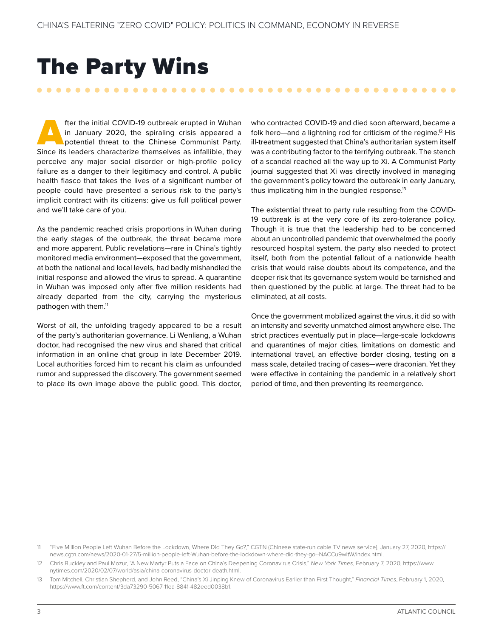### <span id="page-7-0"></span>The Party Wins

fter the initial COVID-19 outbreak erupted in Wuhan<br>
in January 2020, the spiraling crisis appeared a<br>
potential threat to the Chinese Communist Party.<br>
Since its leaders characterize themselves as infallible, they in January 2020, the spiraling crisis appeared a potential threat to the Chinese Communist Party. perceive any major social disorder or high-profile policy failure as a danger to their legitimacy and control. A public health fiasco that takes the lives of a significant number of people could have presented a serious risk to the party's implicit contract with its citizens: give us full political power and we'll take care of you.

As the pandemic reached crisis proportions in Wuhan during the early stages of the outbreak, the threat became more and more apparent. Public revelations—rare in China's tightly monitored media environment—exposed that the government, at both the national and local levels, had badly mishandled the initial response and allowed the virus to spread. A quarantine in Wuhan was imposed only after five million residents had already departed from the city, carrying the mysterious pathogen with them.<sup>11</sup>

Worst of all, the unfolding tragedy appeared to be a result of the party's authoritarian governance. Li Wenliang, a Wuhan doctor, had recognised the new virus and shared that critical information in an online chat group in late December 2019. Local authorities forced him to recant his claim as unfounded rumor and suppressed the discovery. The government seemed to place its own image above the public good. This doctor,

who contracted COVID-19 and died soon afterward, became a folk hero—and a lightning rod for criticism of the regime.<sup>12</sup> His ill-treatment suggested that China's authoritarian system itself was a contributing factor to the terrifying outbreak. The stench of a scandal reached all the way up to Xi. A Communist Party journal suggested that Xi was directly involved in managing the government's policy toward the outbreak in early January, thus implicating him in the bungled response.<sup>13</sup>

. . . . . . . . . . . . . . . . . .

The existential threat to party rule resulting from the COVID-19 outbreak is at the very core of its zero-tolerance policy. Though it is true that the leadership had to be concerned about an uncontrolled pandemic that overwhelmed the poorly resourced hospital system, the party also needed to protect itself, both from the potential fallout of a nationwide health crisis that would raise doubts about its competence, and the deeper risk that its governance system would be tarnished and then questioned by the public at large. The threat had to be eliminated, at all costs.

Once the government mobilized against the virus, it did so with an intensity and severity unmatched almost anywhere else. The strict practices eventually put in place—large-scale lockdowns and quarantines of major cities, limitations on domestic and international travel, an effective border closing, testing on a mass scale, detailed tracing of cases—were draconian. Yet they were effective in containing the pandemic in a relatively short period of time, and then preventing its reemergence.

<sup>11</sup> "Five Million People Left Wuhan Before the Lockdown, Where Did They Go?," CGTN (Chinese state-run cable TV news service), January 27, 2020, [https://](https://news.cgtn.com/news/2020-01-27/5-million-people-left-Wuhan-before-the-lockdown-where-did-they-go--NACCu9wItW/index.html) [news.cgtn.com/news/2020-01-27/5-million-people-left-Wuhan-before-the-lockdown-where-did-they-go--NACCu9wItW/index.html](https://news.cgtn.com/news/2020-01-27/5-million-people-left-Wuhan-before-the-lockdown-where-did-they-go--NACCu9wItW/index.html).

<sup>12</sup> Chris Buckley and Paul Mozur, "A New Martyr Puts a Face on China's Deepening Coronavirus Crisis," *New York Times*, February 7, 2020, [https://www.](https://www.nytimes.com/2020/02/07/world/asia/china-coronavirus-doctor-death.html) [nytimes.com/2020/02/07/world/asia/china-coronavirus-doctor-death.html.](https://www.nytimes.com/2020/02/07/world/asia/china-coronavirus-doctor-death.html)

<sup>13</sup> Tom Mitchell, Christian Shepherd, and John Reed, "China's Xi Jinping Knew of Coronavirus Earlier than First Thought," *Financial Times*, February 1, 2020, <https://www.ft.com/content/3da73290-5067-11ea-8841-482eed0038b1>.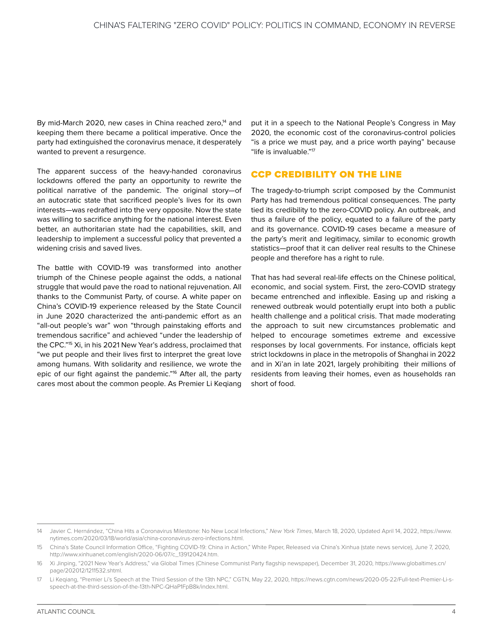<span id="page-8-0"></span>By mid-March 2020, new cases in China reached zero,<sup>14</sup> and keeping them there became a political imperative. Once the party had extinguished the coronavirus menace, it desperately wanted to prevent a resurgence.

The apparent success of the heavy-handed coronavirus lockdowns offered the party an opportunity to rewrite the political narrative of the pandemic. The original story—of an autocratic state that sacrificed people's lives for its own interests—was redrafted into the very opposite. Now the state was willing to sacrifice anything for the national interest. Even better, an authoritarian state had the capabilities, skill, and leadership to implement a successful policy that prevented a widening crisis and saved lives.

The battle with COVID-19 was transformed into another triumph of the Chinese people against the odds, a national struggle that would pave the road to national rejuvenation. All thanks to the Communist Party, of course. A white paper on China's COVID-19 experience released by the State Council in June 2020 characterized the anti-pandemic effort as an "all-out people's war" won "through painstaking efforts and tremendous sacrifice" and achieved "under the leadership of the CPC."15 Xi, in his 2021 New Year's address, proclaimed that "we put people and their lives first to interpret the great love among humans. With solidarity and resilience, we wrote the epic of our fight against the pandemic."16 After all, the party cares most about the common people. As Premier Li Keqiang

put it in a speech to the National People's Congress in May 2020, the economic cost of the coronavirus-control policies "is a price we must pay, and a price worth paying" because "life is invaluable."17

#### CCP CREDIBILITY ON THE LINE

The tragedy-to-triumph script composed by the Communist Party has had tremendous political consequences. The party tied its credibility to the zero-COVID policy. An outbreak, and thus a failure of the policy, equated to a failure of the party and its governance. COVID-19 cases became a measure of the party's merit and legitimacy, similar to economic growth statistics—proof that it can deliver real results to the Chinese people and therefore has a right to rule.

That has had several real-life effects on the Chinese political, economic, and social system. First, the zero-COVID strategy became entrenched and inflexible. Easing up and risking a renewed outbreak would potentially erupt into both a public health challenge and a political crisis. That made moderating the approach to suit new circumstances problematic and helped to encourage sometimes extreme and excessive responses by local governments. For instance, officials kept strict lockdowns in place in the metropolis of Shanghai in 2022 and in Xi'an in late 2021, largely prohibiting their millions of residents from leaving their homes, even as households ran short of food.

<sup>14</sup> Javier C. Hernández, "China Hits a Coronavirus Milestone: No New Local Infections," *New York Times*, March 18, 2020, Updated April 14, 2022, [https://www.](https://www.nytimes.com/2020/03/18/world/asia/china-coronavirus-zero-infections.html) [nytimes.com/2020/03/18/world/asia/china-coronavirus-zero-infections.html](https://www.nytimes.com/2020/03/18/world/asia/china-coronavirus-zero-infections.html).

<sup>15</sup> China's State Council Information Office, "Fighting COVID-19: China in Action," White Paper, Released via China's Xinhua (state news service), June 7, 2020, [http://www.xinhuanet.com/english/2020-06/07/c\\_139120424.htm](http://www.xinhuanet.com/english/2020-06/07/c_139120424.htm).

<sup>16</sup> Xi Jinping, "2021 New Year's Address," via Global Times (Chinese Communist Party flagship newspaper), December 31, 2020, [https://www.globaltimes.cn/](https://www.globaltimes.cn/page/202012/1211532.shtml) [page/202012/1211532.shtml](https://www.globaltimes.cn/page/202012/1211532.shtml).

<sup>17</sup> Li Keqiang, "Premier Li's Speech at the Third Session of the 13th NPC," CGTN, May 22, 2020, [https://news.cgtn.com/news/2020-05-22/Full-text-Premier-Li-s](https://news.cgtn.com/news/2020-05-22/Full-text-Premier-Li-s-speech-at-the-third-session-of-the-13th-NPC-QHaP1FpB8k/index.html)[speech-at-the-third-session-of-the-13th-NPC-QHaP1FpB8k/index.html.](https://news.cgtn.com/news/2020-05-22/Full-text-Premier-Li-s-speech-at-the-third-session-of-the-13th-NPC-QHaP1FpB8k/index.html)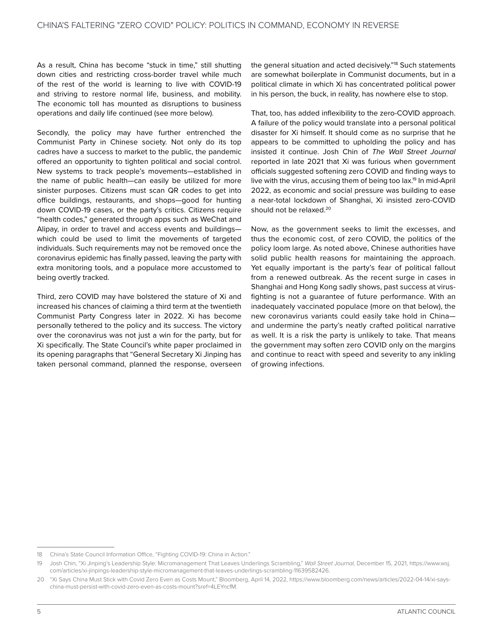As a result, China has become "stuck in time," still shutting down cities and restricting cross-border travel while much of the rest of the world is learning to live with COVID-19 and striving to restore normal life, business, and mobility. The economic toll has mounted as disruptions to business operations and daily life continued (see more below).

Secondly, the policy may have further entrenched the Communist Party in Chinese society. Not only do its top cadres have a success to market to the public, the pandemic offered an opportunity to tighten political and social control. New systems to track people's movements—established in the name of public health—can easily be utilized for more sinister purposes. Citizens must scan QR codes to get into office buildings, restaurants, and shops—good for hunting down COVID-19 cases, or the party's critics. Citizens require "health codes," generated through apps such as WeChat and Alipay, in order to travel and access events and buildings which could be used to limit the movements of targeted individuals. Such requirements may not be removed once the coronavirus epidemic has finally passed, leaving the party with extra monitoring tools, and a populace more accustomed to being overtly tracked.

Third, zero COVID may have bolstered the stature of Xi and increased his chances of claiming a third term at the twentieth Communist Party Congress later in 2022. Xi has become personally tethered to the policy and its success. The victory over the coronavirus was not just a win for the party, but for Xi specifically. The State Council's white paper proclaimed in its opening paragraphs that "General Secretary Xi Jinping has taken personal command, planned the response, overseen the general situation and acted decisively."<sup>18</sup> Such statements are somewhat boilerplate in Communist documents, but in a political climate in which Xi has concentrated political power in his person, the buck, in reality, has nowhere else to stop.

That, too, has added inflexibility to the zero-COVID approach. A failure of the policy would translate into a personal political disaster for Xi himself. It should come as no surprise that he appears to be committed to upholding the policy and has insisted it continue. Josh Chin of *The Wall Street Journal* reported in late 2021 that Xi was furious when government officials suggested softening zero COVID and finding ways to live with the virus, accusing them of being too lax.<sup>19</sup> In mid-April 2022, as economic and social pressure was building to ease a near-total lockdown of Shanghai, Xi insisted zero-COVID should not be relaxed.<sup>20</sup>

Now, as the government seeks to limit the excesses, and thus the economic cost, of zero COVID, the politics of the policy loom large. As noted above, Chinese authorities have solid public health reasons for maintaining the approach. Yet equally important is the party's fear of political fallout from a renewed outbreak. As the recent surge in cases in Shanghai and Hong Kong sadly shows, past success at virusfighting is not a guarantee of future performance. With an inadequately vaccinated populace (more on that below), the new coronavirus variants could easily take hold in China and undermine the party's neatly crafted political narrative as well. It is a risk the party is unlikely to take. That means the government may soften zero COVID only on the margins and continue to react with speed and severity to any inkling of growing infections.

<sup>18</sup> China's State Council Information Office, "Fighting COVID-19: China in Action."

<sup>19</sup> Josh Chin, "Xi Jinping's Leadership Style: Micromanagement That Leaves Underlings Scrambling," *Wall Street Journal,* December 15, 2021, [https://www.wsj.](https://www.wsj.com/articles/xi-jinpings-leadership-style-micromanagement-that-leaves-underlings-scrambling-11639582426) [com/articles/xi-jinpings-leadership-style-micromanagement-that-leaves-underlings-scrambling-11639582426.](https://www.wsj.com/articles/xi-jinpings-leadership-style-micromanagement-that-leaves-underlings-scrambling-11639582426)

<sup>20</sup> "Xi Says China Must Stick with Covid Zero Even as Costs Mount," Bloomberg, April 14, 2022, [https://www.bloomberg.com/news/articles/2022-04-14/xi-says](https://www.bloomberg.com/news/articles/2022-04-14/xi-says-china-must-persist-with-covid-zero-even-as-costs-mount?sref=4LEYncfM)[china-must-persist-with-covid-zero-even-as-costs-mount?sref=4LEYncfM](https://www.bloomberg.com/news/articles/2022-04-14/xi-says-china-must-persist-with-covid-zero-even-as-costs-mount?sref=4LEYncfM).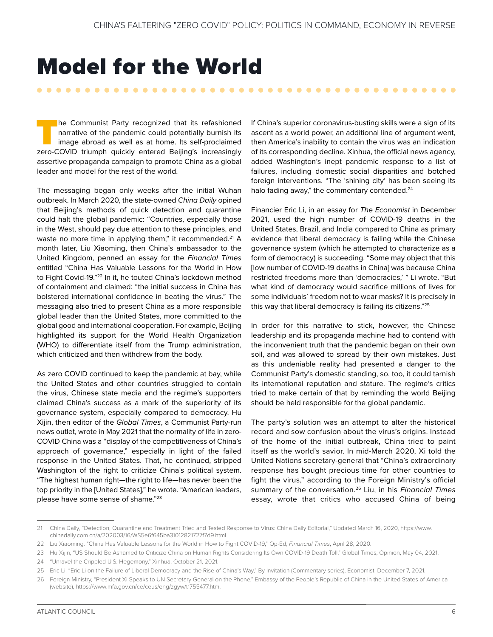## <span id="page-10-0"></span>Model for the World

The Communist Party recognized that its refashioned<br>narrative of the pandemic could potentially burnish its<br>image abroad as well as at home. Its self-proclaimed<br>zero-COVID triumph quickly entered Beijing's increasingly narrative of the pandemic could potentially burnish its image abroad as well as at home. Its self-proclaimed zero-COVID triumph quickly entered Beijing's increasingly assertive propaganda campaign to promote China as a global leader and model for the rest of the world.

. . . . . . . . . . .

The messaging began only weeks after the initial Wuhan outbreak. In March 2020, the state-owned *China Daily* opined that Beijing's methods of quick detection and quarantine could halt the global pandemic: "Countries, especially those in the West, should pay due attention to these principles, and waste no more time in applying them," it recommended.<sup>21</sup> A month later, Liu Xiaoming, then China's ambassador to the United Kingdom, penned an essay for the *Financial Times* entitled "China Has Valuable Lessons for the World in How to Fight Covid-19."22 In it, he touted China's lockdown method of containment and claimed: "the initial success in China has bolstered international confidence in beating the virus." The messaging also tried to present China as a more responsible global leader than the United States, more committed to the global good and international cooperation. For example, Beijing highlighted its support for the World Health Organization (WHO) to differentiate itself from the Trump administration, which criticized and then withdrew from the body.

As zero COVID continued to keep the pandemic at bay, while the United States and other countries struggled to contain the virus, Chinese state media and the regime's supporters claimed China's success as a mark of the superiority of its governance system, especially compared to democracy. Hu Xijin, then editor of the *Global Times*, a Communist Party-run news outlet, wrote in May 2021 that the normality of life in zero-COVID China was a "display of the competitiveness of China's approach of governance," especially in light of the failed response in the United States. That, he continued, stripped Washington of the right to criticize China's political system. "The highest human right—the right to life—has never been the top priority in the [United States]," he wrote. "American leaders, please have some sense of shame."23

If China's superior coronavirus-busting skills were a sign of its ascent as a world power, an additional line of argument went, then America's inability to contain the virus was an indication of its corresponding decline. Xinhua, the official news agency, added Washington's inept pandemic response to a list of failures, including domestic social disparities and botched foreign interventions. "The 'shining city' has been seeing its halo fading away," the commentary contended.<sup>24</sup>

Financier Eric Li, in an essay for *The Economist* in December 2021, used the high number of COVID-19 deaths in the United States, Brazil, and India compared to China as primary evidence that liberal democracy is failing while the Chinese governance system (which he attempted to characterize as a form of democracy) is succeeding. "Some may object that this [low number of COVID-19 deaths in China] was because China restricted freedoms more than 'democracies,' " Li wrote. "But what kind of democracy would sacrifice millions of lives for some individuals' freedom not to wear masks? It is precisely in this way that liberal democracy is failing its citizens."25

In order for this narrative to stick, however, the Chinese leadership and its propaganda machine had to contend with the inconvenient truth that the pandemic began on their own soil, and was allowed to spread by their own mistakes. Just as this undeniable reality had presented a danger to the Communist Party's domestic standing, so, too, it could tarnish its international reputation and stature. The regime's critics tried to make certain of that by reminding the world Beijing should be held responsible for the global pandemic.

The party's solution was an attempt to alter the historical record and sow confusion about the virus's origins. Instead of the home of the initial outbreak, China tried to paint itself as the world's savior. In mid-March 2020, Xi told the United Nations secretary-general that "China's extraordinary response has bought precious time for other countries to fight the virus," according to the Foreign Ministry's official summary of the conversation.26 Liu, in his *Financial Times* essay, wrote that critics who accused China of being

<sup>21</sup> China Daily, "Detection, Quarantine and Treatment Tried and Tested Response to Virus: China Daily Editorial," Updated March 16, 2020, [https://www.](https://www.chinadaily.com.cn/a/202003/16/WS5e6f645ba31012821727f7d9.html) [chinadaily.com.cn/a/202003/16/WS5e6f645ba31012821727f7d9.html.](https://www.chinadaily.com.cn/a/202003/16/WS5e6f645ba31012821727f7d9.html)

<sup>22</sup> Liu Xiaoming, "China Has Valuable Lessons for the World in How to Fight COVID-19," Op-Ed, *Financial Times*, April 28, 2020.

<sup>23</sup> Hu Xijin, "US Should Be Ashamed to Criticize China on Human Rights Considering Its Own COVID-19 Death Toll," Global Times, Opinion, May 04, 2021.

<sup>24</sup> "Unravel the Crippled U.S. Hegemony," Xinhua, October 21, 2021.

<sup>25</sup> Eric Li, "Eric Li on the Failure of Liberal Democracy and the Rise of China's Way," By Invitation (Commentary series), Economist, December 7, 2021.

<sup>26</sup> Foreign Ministry, "President Xi Speaks to UN Secretary General on the Phone," Embassy of the People's Republic of China in the United States of America (website), [https://www.mfa.gov.cn/ce/ceus/eng/zgyw/t1755477.htm.](https://www.mfa.gov.cn/ce/ceus/eng/zgyw/t1755477.htm)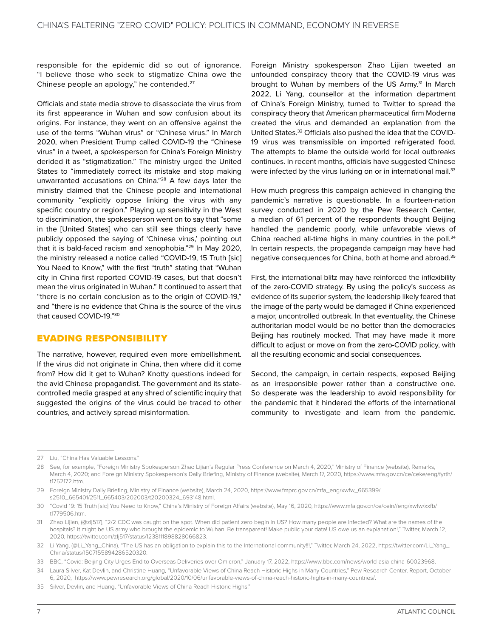<span id="page-11-0"></span>responsible for the epidemic did so out of ignorance. "I believe those who seek to stigmatize China owe the Chinese people an apology," he contended.27

Officials and state media strove to disassociate the virus from its first appearance in Wuhan and sow confusion about its origins. For instance, they went on an offensive against the use of the terms "Wuhan virus" or "Chinese virus." In March 2020, when President Trump called COVID-19 the "Chinese virus" in a tweet, a spokesperson for China's Foreign Ministry derided it as "stigmatization." The ministry urged the United States to "immediately correct its mistake and stop making unwarranted accusations on China."28 A few days later the ministry claimed that the Chinese people and international community "explicitly oppose linking the virus with any specific country or region." Playing up sensitivity in the West to discrimination, the spokesperson went on to say that "some in the [United States] who can still see things clearly have publicly opposed the saying of 'Chinese virus,' pointing out that it is bald-faced racism and xenophobia."29 In May 2020, the ministry released a notice called "COVID-19, 15 Truth [sic] You Need to Know," with the first "truth" stating that "Wuhan city in China first reported COVID-19 cases, but that doesn't mean the virus originated in Wuhan." It continued to assert that "there is no certain conclusion as to the origin of COVID-19," and "there is no evidence that China is the source of the virus that caused COVID-19."30

#### EVADING RESPONSIBILITY

The narrative, however, required even more embellishment. If the virus did not originate in China, then where did it come from? How did it get to Wuhan? Knotty questions indeed for the avid Chinese propagandist. The government and its statecontrolled media grasped at any shred of scientific inquiry that suggested the origins of the virus could be traced to other countries, and actively spread misinformation.

Foreign Ministry spokesperson Zhao Lijian tweeted an unfounded conspiracy theory that the COVID-19 virus was brought to Wuhan by members of the US Army.<sup>31</sup> In March 2022, Li Yang, counsellor at the information department of China's Foreign Ministry, turned to Twitter to spread the conspiracy theory that American pharmaceutical firm Moderna created the virus and demanded an explanation from the United States.32 Officials also pushed the idea that the COVID-19 virus was transmissible on imported refrigerated food. The attempts to blame the outside world for local outbreaks continues. In recent months, officials have suggested Chinese were infected by the virus lurking on or in international mail.<sup>33</sup>

How much progress this campaign achieved in changing the pandemic's narrative is questionable. In a fourteen-nation survey conducted in 2020 by the Pew Research Center, a median of 61 percent of the respondents thought Beijing handled the pandemic poorly, while unfavorable views of China reached all-time highs in many countries in the poll.<sup>34</sup> In certain respects, the propaganda campaign may have had negative consequences for China, both at home and abroad.35

First, the international blitz may have reinforced the inflexibility of the zero-COVID strategy. By using the policy's success as evidence of its superior system, the leadership likely feared that the image of the party would be damaged if China experienced a major, uncontrolled outbreak. In that eventuality, the Chinese authoritarian model would be no better than the democracies Beijing has routinely mocked. That may have made it more difficult to adjust or move on from the zero-COVID policy, with all the resulting economic and social consequences.

Second, the campaign, in certain respects, exposed Beijing as an irresponsible power rather than a constructive one. So desperate was the leadership to avoid responsibility for the pandemic that it hindered the efforts of the international community to investigate and learn from the pandemic.

<sup>27</sup> Liu, "China Has Valuable Lessons."

<sup>28</sup> See, for example, "Foreign Ministry Spokesperson Zhao Lijian's Regular Press Conference on March 4, 2020," Ministry of Finance (website), Remarks, March 4, 2020; and Foreign Ministry Spokesperson's Daily Briefing, Ministry of Finance (website), March 17, 2020, [https://www.mfa.gov.cn/ce/ceke/eng/fyrth/](https://www.mfa.gov.cn/ce/ceke/eng/fyrth/t1752172.htm) [t1752172.htm.](https://www.mfa.gov.cn/ce/ceke/eng/fyrth/t1752172.htm)

<sup>29</sup> Foreign Ministry Daily Briefing, Ministry of Finance (website), March 24, 2020, [https://www.fmprc.gov.cn/mfa\\_eng/xwfw\\_665399/](https://www.fmprc.gov.cn/mfa_eng/xwfw_665399/s2510_665401/2511_665403/202003/t20200324_693148.html) [s2510\\_665401/2511\\_665403/202003/t20200324\\_693148.html.](https://www.fmprc.gov.cn/mfa_eng/xwfw_665399/s2510_665401/2511_665403/202003/t20200324_693148.html)

<sup>30</sup> "Covid 19: 15 Truth [sic] You Need to Know," China's Ministry of Foreign Affairs (website), May 16, 2020, [https://www.mfa.gov.cn/ce/cein//eng/xwfw/xxfb/](https://www.mfa.gov.cn/ce/cein//eng/xwfw/xxfb/t1779506.htm) [t1779506.htm](https://www.mfa.gov.cn/ce/cein//eng/xwfw/xxfb/t1779506.htm).

<sup>31</sup> Zhao Lijian, (@zlj517), "2/2 CDC was caught on the spot. When did patient zero begin in US? How many people are infected? What are the names of the hospitals? It might be US army who brought the epidemic to Wuhan. Be transparent! Make public your data! US owe us an explanation!," Twitter, March 12, 2020, [https://twitter.com/zlj517/status/1238111898828066823.](https://twitter.com/zlj517/status/1238111898828066823)

<sup>32</sup> Li Yang, (@Li\_Yang\_China), "The US has an obligation to explain this to the International community!!!," Twitter, March 24, 2022, [https://twitter.com/Li\\_Yang\\_](https://twitter.com/Li_Yang_China/status/1507155894286520320) [China/status/1507155894286520320.](https://twitter.com/Li_Yang_China/status/1507155894286520320)

<sup>33</sup> BBC, "Covid: Beijing City Urges End to Overseas Deliveries over Omicron," January 17, 2022, <https://www.bbc.com/news/world-asia-china-60023968>.

<sup>34</sup> Laura Silver, Kat Devlin, and Christine Huang, "Unfavorable Views of China Reach Historic Highs in Many Countries," Pew Research Center, Report, October 6, 2020, [https://www.pewresearch.org/global/2020/10/06/unfavorable-views-of-china-reach-historic-highs-in-many-countries/.](https://www.pewresearch.org/global/2020/10/06/unfavorable-views-of-china-reach-historic-highs-in-many-countries/)

<sup>35</sup> Silver, Devlin, and Huang, "Unfavorable Views of China Reach Historic Highs."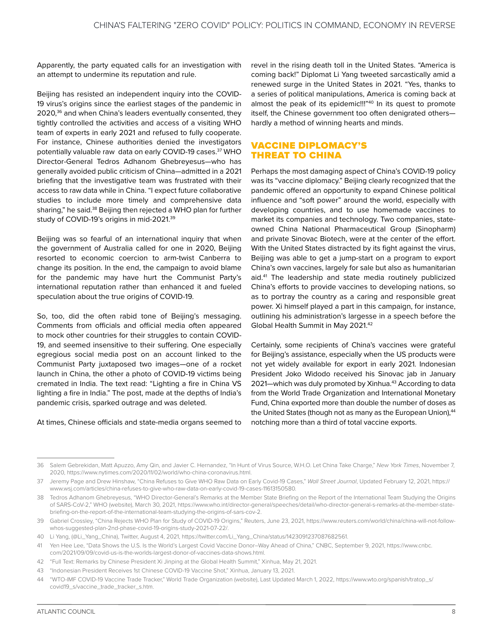<span id="page-12-0"></span>Apparently, the party equated calls for an investigation with an attempt to undermine its reputation and rule.

Beijing has resisted an independent inquiry into the COVID-19 virus's origins since the earliest stages of the pandemic in 2020,<sup>36</sup> and when China's leaders eventually consented, they tightly controlled the activities and access of a visiting WHO team of experts in early 2021 and refused to fully cooperate. For instance, Chinese authorities denied the investigators potentially valuable raw data on early COVID-19 cases.37 WHO Director-General Tedros Adhanom Ghebreyesus—who has generally avoided public criticism of China—admitted in a 2021 briefing that the investigative team was frustrated with their access to raw data while in China. "I expect future collaborative studies to include more timely and comprehensive data sharing," he said.38 Beijing then rejected a WHO plan for further study of COVID-19's origins in mid-2021.39

Beijing was so fearful of an international inquiry that when the government of Australia called for one in 2020, Beijing resorted to economic coercion to arm-twist Canberra to change its position. In the end, the campaign to avoid blame for the pandemic may have hurt the Communist Party's international reputation rather than enhanced it and fueled speculation about the true origins of COVID-19.

So, too, did the often rabid tone of Beijing's messaging. Comments from officials and official media often appeared to mock other countries for their struggles to contain COVID-19, and seemed insensitive to their suffering. One especially egregious social media post on an account linked to the Communist Party juxtaposed two images—one of a rocket launch in China, the other a photo of COVID-19 victims being cremated in India. The text read: "Lighting a fire in China VS lighting a fire in India." The post, made at the depths of India's pandemic crisis, sparked outrage and was deleted.

At times, Chinese officials and state-media organs seemed to

revel in the rising death toll in the United States. "America is coming back!" Diplomat Li Yang tweeted sarcastically amid a renewed surge in the United States in 2021. "Yes, thanks to a series of political manipulations, America is coming back at almost the peak of its epidemic!!!"<sup>40</sup> In its quest to promote itself, the Chinese government too often denigrated others hardly a method of winning hearts and minds.

#### VACCINE DIPLOMACY'S THREAT TO CHINA

Perhaps the most damaging aspect of China's COVID-19 policy was its "vaccine diplomacy." Beijing clearly recognized that the pandemic offered an opportunity to expand Chinese political influence and "soft power" around the world, especially with developing countries, and to use homemade vaccines to market its companies and technology. Two companies, stateowned China National Pharmaceutical Group (Sinopharm) and private Sinovac Biotech, were at the center of the effort. With the United States distracted by its fight against the virus, Beijing was able to get a jump-start on a program to export China's own vaccines, largely for sale but also as humanitarian aid.41 The leadership and state media routinely publicized China's efforts to provide vaccines to developing nations, so as to portray the country as a caring and responsible great power. Xi himself played a part in this campaign, for instance, outlining his administration's largesse in a speech before the Global Health Summit in May 2021.42

Certainly, some recipients of China's vaccines were grateful for Beijing's assistance, especially when the US products were not yet widely available for export in early 2021. Indonesian President Joko Widodo received his Sinovac jab in January 2021—which was duly promoted by Xinhua.<sup>43</sup> According to data from the World Trade Organization and International Monetary Fund, China exported more than double the number of doses as the United States (though not as many as the European Union),<sup>44</sup> notching more than a third of total vaccine exports.

<sup>36</sup> Salem Gebrekidan, Matt Apuzzo, Amy Qin, and Javier C. Hernandez, "In Hunt of Virus Source, W.H.O. Let China Take Charge," *New York Times*, November 7, 2020,<https://www.nytimes.com/2020/11/02/world/who-china-coronavirus.html>.

<sup>37</sup> Jeremy Page and Drew Hinshaw, "China Refuses to Give WHO Raw Data on Early Covid-19 Cases," *Wall Street Journal*, Updated February 12, 2021, [https://](https://www.wsj.com/articles/china-refuses-to-give-who-raw-data-on-early-covid-19-cases-11613150580) [www.wsj.com/articles/china-refuses-to-give-who-raw-data-on-early-covid-19-cases-11613150580.](https://www.wsj.com/articles/china-refuses-to-give-who-raw-data-on-early-covid-19-cases-11613150580)

<sup>38</sup> Tedros Adhanom Ghebreyesus, "WHO Director-General's Remarks at the Member State Briefing on the Report of the International Team Studying the Origins of SARS-CoV-2," WHO (website), March 30, 2021, [https://www.who.int/director-general/speeches/detail/who-director-general-s-remarks-at-the-member-state](https://www.who.int/director-general/speeches/detail/who-director-general-s-remarks-at-the-member-state-briefing-on-the-report-of-the-international-team-studying-the-origins-of-sars-cov-2)[briefing-on-the-report-of-the-international-team-studying-the-origins-of-sars-cov-2.](https://www.who.int/director-general/speeches/detail/who-director-general-s-remarks-at-the-member-state-briefing-on-the-report-of-the-international-team-studying-the-origins-of-sars-cov-2)

<sup>39</sup> Gabriel Crossley, "China Rejects WHO Plan for Study of COVID-19 Origins," Reuters, June 23, 2021, [https://www.reuters.com/world/china/china-will-not-follow](https://www.reuters.com/world/china/china-will-not-follow-whos-suggested-plan-2nd-phase-covid-19-origins-study-2021-07-22/)[whos-suggested-plan-2nd-phase-covid-19-origins-study-2021-07-22/.](https://www.reuters.com/world/china/china-will-not-follow-whos-suggested-plan-2nd-phase-covid-19-origins-study-2021-07-22/)

<sup>40</sup> Li Yang, (@Li\_Yang\_China), Twitter, August 4, 2021, [https://twitter.com/Li\\_Yang\\_China/status/1423091237087682561](https://twitter.com/Li_Yang_China/status/1423091237087682561).

<sup>41</sup> Yen Hee Lee, "Data Shows the U.S. Is the World's Largest Covid Vaccine Donor–Way Ahead of China," CNBC, September 9, 2021, [https://www.cnbc.](https://www.cnbc.com/2021/09/09/covid-us-is-the-worlds-largest-donor-of-vaccines-data-shows.html) [com/2021/09/09/covid-us-is-the-worlds-largest-donor-of-vaccines-data-shows.html.](https://www.cnbc.com/2021/09/09/covid-us-is-the-worlds-largest-donor-of-vaccines-data-shows.html)

<sup>42</sup> "Full Text: Remarks by Chinese President Xi Jinping at the Global Health Summit," Xinhua, May 21, 2021.

<sup>43</sup> "Indonesian President Receives 1st Chinese COVID-19 Vaccine Shot," Xinhua, January 13, 2021.

<sup>44</sup> "WTO-IMF COVID-19 Vaccine Trade Tracker," World Trade Organization (website), Last Updated March 1, 2022, [https://www.wto.org/spanish/tratop\\_s/](https://www.wto.org/spanish/tratop_s/covid19_s/vaccine_trade_tracker_s.htm) [covid19\\_s/vaccine\\_trade\\_tracker\\_s.htm.](https://www.wto.org/spanish/tratop_s/covid19_s/vaccine_trade_tracker_s.htm)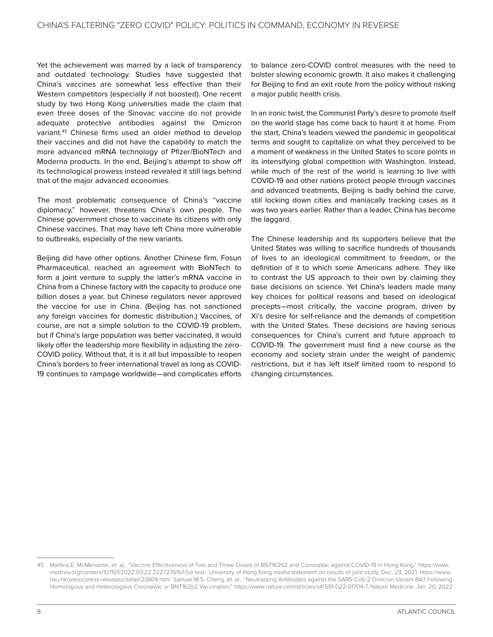Yet the achievement was marred by a lack of transparency and outdated technology. Studies have suggested that China's vaccines are somewhat less effective than their Western competitors (especially if not boosted). One recent study by two Hong Kong universities made the claim that even three doses of the Sinovac vaccine do not provide adequate protective antibodies against the Omicron variant.45 Chinese firms used an older method to develop their vaccines and did not have the capability to match the more advanced mRNA technology of Pfizer/BioNTech and Moderna products. In the end, Beijing's attempt to show off its technological prowess instead revealed it still lags behind that of the major advanced economies.

The most problematic consequence of China's "vaccine diplomacy," however, threatens China's own people. The Chinese government chose to vaccinate its citizens with only Chinese vaccines. That may have left China more vulnerable to outbreaks, especially of the new variants.

Beijing did have other options. Another Chinese firm, Fosun Pharmaceutical, reached an agreement with BioNTech to form a joint venture to supply the latter's mRNA vaccine in China from a Chinese factory with the capacity to produce one billion doses a year, but Chinese regulators never approved the vaccine for use in China. (Beijing has not sanctioned any foreign vaccines for domestic distribution.) Vaccines, of course, are not a simple solution to the COVID-19 problem, but if China's large population was better vaccinated, it would likely offer the leadership more flexibility in adjusting the zero-COVID policy. Without that, it is it all but impossible to reopen China's borders to freer international travel as long as COVID-19 continues to rampage worldwide—and complicates efforts

to balance zero-COVID control measures with the need to bolster slowing economic growth. It also makes it challenging for Beijing to find an exit route from the policy without risking a major public health crisis.

In an ironic twist, the Communist Party's desire to promote itself on the world stage has come back to haunt it at home. From the start, China's leaders viewed the pandemic in geopolitical terms and sought to capitalize on what they perceived to be a moment of weakness in the United States to score points in its intensifying global competition with Washington. Instead, while much of the rest of the world is learning to live with COVID-19 and other nations protect people through vaccines and advanced treatments, Beijing is badly behind the curve, still locking down cities and maniacally tracking cases as it was two years earlier. Rather than a leader, China has become the laggard.

The Chinese leadership and its supporters believe that the United States was willing to sacrifice hundreds of thousands of lives to an ideological commitment to freedom, or the definition of it to which some Americans adhere. They like to contrast the US approach to their own by claiming they base decisions on science. Yet China's leaders made many key choices for political reasons and based on ideological precepts—most critically, the vaccine program, driven by Xi's desire for self-reliance and the demands of competition with the United States. These decisions are having serious consequences for China's current and future approach to COVID-19. The government must find a new course as the economy and society strain under the weight of pandemic restrictions, but it has left itself limited room to respond to changing circumstances.

<sup>45</sup> Martina E. McMenamin, et. al., "Vaccine Effectiveness of Two and Three Doses of BNT16262 and CoronaVac against COVID-19 in Hong Kong," [https://www.](https://www.medrxiv.org/content/10.1101/2022.03.22.22272769v1.full-text) [medrxiv.org/content/10.1101/2022.03.22.22272769v1.full-text](https://www.medrxiv.org/content/10.1101/2022.03.22.22272769v1.full-text). University of Hong Kong media statement on results of joint study, Dec. 23, 2021, [https://www.](https://www.hku.hk/press/press-releases/detail/23804.html) [hku.hk/press/press-releases/detail/23804.html.](https://www.hku.hk/press/press-releases/detail/23804.html) Samuel M.S. Cheng, et. al., "Neutralizing Antibodies against the SARS-CoV-2 Omicron Variant BA.1 Following Homologous and Heterologous CoronaVac or BNT162b2 Vaccination," [https://www.nature.com/articles/s41591-022-01704-7,](https://www.nature.com/articles/s41591-022-01704-7) Nature Medicine, Jan. 20, 2022.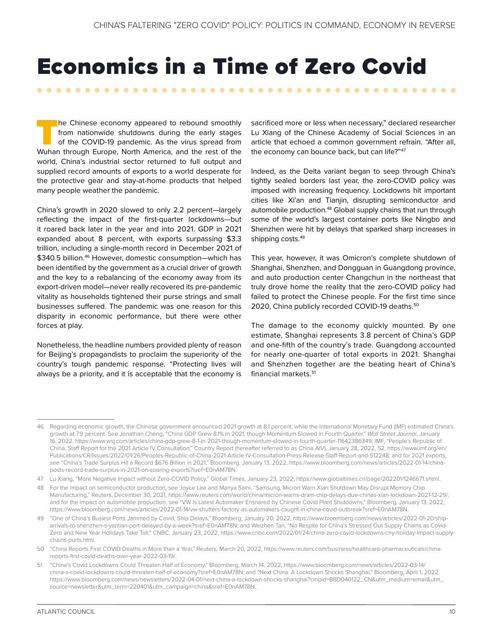# <span id="page-14-0"></span>Economics in a Time of Zero Covid

The Chinese economy appeared to rebound smoothly<br>from nationwide shutdowns during the early stages<br>of the COVID-19 pandemic. As the virus spread from<br>Wuhan through Europe. North America, and the rest of the from nationwide shutdowns during the early stages of the COVID-19 pandemic. As the virus spread from Wuhan through Europe, North America, and the rest of the world, China's industrial sector returned to full output and supplied record amounts of exports to a world desperate for the protective gear and stay-at-home products that helped many people weather the pandemic.

. . . . . . . . . . . . . . . .

China's growth in 2020 slowed to only 2.2 percent—largely reflecting the impact of the first-quarter lockdowns—but it roared back later in the year and into 2021. GDP in 2021 expanded about 8 percent, with exports surpassing \$3.3 trillion, including a single-month record in December 2021 of \$340.5 billion.<sup>46</sup> However, domestic consumption—which has been identified by the government as a crucial driver of growth and the key to a rebalancing of the economy away from its export-driven model—never really recovered its pre-pandemic vitality as households tightened their purse strings and small businesses suffered. The pandemic was one reason for this disparity in economic performance, but there were other forces at play.

Nonetheless, the headline numbers provided plenty of reason for Beijing's propagandists to proclaim the superiority of the country's tough pandemic response. "Protecting lives will always be a priority, and it is acceptable that the economy is

sacrificed more or less when necessary," declared researcher Lu Xiang of the Chinese Academy of Social Sciences in an article that echoed a common government refrain. "After all, the economy can bounce back, but can life?"47

. . . . . . . . .

Indeed, as the Delta variant began to seep through China's tightly sealed borders last year, the zero-COVID policy was imposed with increasing frequency. Lockdowns hit important cities like Xi'an and Tianjin, disrupting semiconductor and automobile production.<sup>48</sup> Global supply chains that run through some of the world's largest container ports like Ningbo and Shenzhen were hit by delays that sparked sharp increases in shipping costs.<sup>49</sup>

This year, however, it was Omicron's complete shutdown of Shanghai, Shenzhen, and Dongguan in Guangdong province, and auto production center Changchun in the northeast that truly drove home the reality that the zero-COVID policy had failed to protect the Chinese people. For the first time since 2020, China publicly recorded COVID-19 deaths.<sup>50</sup>

The damage to the economy quickly mounted. By one estimate, Shanghai represents 3.8 percent of China's GDP and one-fifth of the country's trade. Guangdong accounted for nearly one-quarter of total exports in 2021. Shanghai and Shenzhen together are the beating heart of China's financial markets.51

<sup>46</sup> Regarding economic growth, the Chinese government announced 2021 growth at 8.1 percent, while the International Monetary Fund (IMF) estimated China's growth at 7.9 percent. See Jonathan Cheng, "China GDP Grew 8.1% in 2021, though Momentum Slowed in Fourth Quarter," *Wall Street Journal*, January 16, 2022, [https://www.wsj.com/articles/china-gdp-grew-8-1-in-2021-though-momentum-slowed-in-fourth-quarter-11642386349;](https://www.wsj.com/articles/china-gdp-grew-8-1-in-2021-though-momentum-slowed-in-fourth-quarter-11642386349) IMF, "People's Republic of China, Staff Report for the 2021 Article IV Consultation," Country Report (hereafter referred to as China AIV), January 28, 2022, 52, [https://www.imf.org/en/](https://www.imf.org/en/Publications/CR/Issues/2022/01/26/Peoples-Republic-of-China-2021-Article-IV-Consultation-Press-Release-Staff-Report-and-512248) [Publications/CR/Issues/2022/01/26/Peoples-Republic-of-China-2021-Article-IV-Consultation-Press-Release-Staff-Report-and-512248](https://www.imf.org/en/Publications/CR/Issues/2022/01/26/Peoples-Republic-of-China-2021-Article-IV-Consultation-Press-Release-Staff-Report-and-512248); and for 2021 exports, see "China's Trade Surplus Hit a Record \$676 Billion in 2021," Bloomberg, January 13, 2022, [https://www.bloomberg.com/news/articles/2022-01-14/china](https://www.bloomberg.com/news/articles/2022-01-14/china-posts-record-trade-surplus-in-2021-on-soaring-exports?sref=E0nAM78N)[posts-record-trade-surplus-in-2021-on-soaring-exports?sref=E0nAM78N](https://www.bloomberg.com/news/articles/2022-01-14/china-posts-record-trade-surplus-in-2021-on-soaring-exports?sref=E0nAM78N).

<sup>47</sup> Lu Xiang, "More Negative Impact without Zero-COVID Policy," Global Times, January 23, 2022, [https://www.globaltimes.cn/page/202201/1246671.shtml.](https://www.globaltimes.cn/page/202201/1246671.shtml)

<sup>48</sup> For the impact on semiconductor production, see Joyce Lee and Manya Saini, "Samsung, Micron Warn Xian Shutdown May Disrupt Memory Chip Manufacturing," Reuters, December 30, 2021,<https://www.reuters.com/world/china/micron-warns-dram-chip-delays-due-chinas-xian-lockdown-2021-12-29/>; and for the impact on automobile production, see "VW Is Latest Automaker Ensnared by Chinese Covid Plant Shutdowns," Bloomberg, January 13, 2022, [https://www.bloomberg.com/news/articles/2022-01-14/vw-shutters-factory-as-automakers-caught-in-china-covid-outbreak?sref=E0nAM78N.](https://www.bloomberg.com/news/articles/2022-01-14/vw-shutters-factory-as-automakers-caught-in-china-covid-outbreak?sref=E0nAM78N)

<sup>49</sup> "One of China's Busiest Ports Jammed by Covid, Ship Delays," Bloomberg, January 20, 2022, [https://www.bloomberg.com/news/articles/2022-01-20/ship](https://www.bloomberg.com/news/articles/2022-01-20/ship-arrivals-to-shenzhen-s-yantian-port-delayed-by-a-week?sref=E0nAM78N)[arrivals-to-shenzhen-s-yantian-port-delayed-by-a-week?sref=E0nAM78N;](https://www.bloomberg.com/news/articles/2022-01-20/ship-arrivals-to-shenzhen-s-yantian-port-delayed-by-a-week?sref=E0nAM78N) and Weizhen Tan, "No Respite for China's Stressed Out Supply Chains as Covid-Zero and New Year Holidays Take Toll," CNBC, January 23, 2022, [https://www.cnbc.com/2022/01/24/china-zero-covid-lockdowns-cny-holiday-impact-supply](https://www.cnbc.com/2022/01/24/china-zero-covid-lockdowns-cny-holiday-impact-supply-chains-ports.html)[chains-ports.html.](https://www.cnbc.com/2022/01/24/china-zero-covid-lockdowns-cny-holiday-impact-supply-chains-ports.html)

<sup>50</sup> "China Reports First COVID Deaths in More than a Year," Reuters, March 20, 2022, [https://www.reuters.com/business/healthcare-pharmaceuticals/china](https://www.reuters.com/business/healthcare-pharmaceuticals/china-reports-first-covid-deaths-over-year-2022-03-19/)[reports-first-covid-deaths-over-year-2022-03-19/.](https://www.reuters.com/business/healthcare-pharmaceuticals/china-reports-first-covid-deaths-over-year-2022-03-19/)

<sup>51</sup> "China's Covid Lockdowns Could Threaten Half of Economy," Bloomberg, March 14, 2022, [https://www.bloomberg.com/news/articles/2022-03-14/](https://www.bloomberg.com/news/articles/2022-03-14/china-s-covid-lockdowns-could-threaten-half-of-economy?sref=E0nAM78N) [china-s-covid-lockdowns-could-threaten-half-of-economy?sref=E0nAM78N;](https://www.bloomberg.com/news/articles/2022-03-14/china-s-covid-lockdowns-could-threaten-half-of-economy?sref=E0nAM78N) and "Next China: A Lockdown Shocks Shanghai," Bloomberg, April 1, 2022, [https://www.bloomberg.com/news/newsletters/2022-04-01/next-china-a-lockdown-shocks-shanghai?cmpid=BBD040122\\_CN&utm\\_medium=email&utm\\_](https://www.bloomberg.com/news/newsletters/2022-04-01/next-china-a-lockdown-shocks-shanghai?cmpid=BBD040122_CN&utm_medium=email&utm_source=newsletter&utm_term=220401&utm_campaign=china&sref=E0nAM78N) [source=newsletter&utm\\_term=220401&utm\\_campaign=china&sref=E0nAM78N](https://www.bloomberg.com/news/newsletters/2022-04-01/next-china-a-lockdown-shocks-shanghai?cmpid=BBD040122_CN&utm_medium=email&utm_source=newsletter&utm_term=220401&utm_campaign=china&sref=E0nAM78N).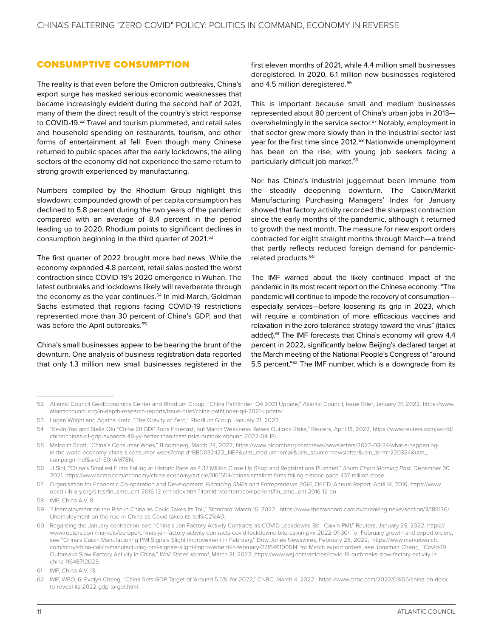#### <span id="page-15-0"></span>CONSUMPTIVE CONSUMPTION

The reality is that even before the Omicron outbreaks, China's export surge has masked serious economic weaknesses that became increasingly evident during the second half of 2021, many of them the direct result of the country's strict response to COVID-19.52 Travel and tourism plummeted, and retail sales and household spending on restaurants, tourism, and other forms of entertainment all fell. Even though many Chinese returned to public spaces after the early lockdowns, the ailing sectors of the economy did not experience the same return to strong growth experienced by manufacturing.

Numbers compiled by the Rhodium Group highlight this slowdown: compounded growth of per capita consumption has declined to 5.8 percent during the two years of the pandemic compared with an average of 8.4 percent in the period leading up to 2020. Rhodium points to significant declines in consumption beginning in the third quarter of 2021.53

The first quarter of 2022 brought more bad news. While the economy expanded 4.8 percent, retail sales posted the worst contraction since COVID-19's 2020 emergence in Wuhan. The latest outbreaks and lockdowns likely will reverberate through the economy as the year continues.<sup>54</sup> In mid-March, Goldman Sachs estimated that regions facing COVID-19 restrictions represented more than 30 percent of China's GDP, and that was before the April outbreaks.<sup>55</sup>

China's small businesses appear to be bearing the brunt of the downturn. One analysis of business registration data reported that only 1.3 million new small businesses registered in the first eleven months of 2021, while 4.4 million small businesses deregistered. In 2020, 6.1 million new businesses registered and 4.5 million deregistered.<sup>56</sup>

This is important because small and medium businesses represented about 80 percent of China's urban jobs in 2013 overwhelmingly in the service sector.<sup>57</sup> Notably, employment in that sector grew more slowly than in the industrial sector last year for the first time since 2012.58 Nationwide unemployment has been on the rise, with young job seekers facing a particularly difficult job market.59

Nor has China's industrial juggernaut been immune from the steadily deepening downturn. The Caixin/Markit Manufacturing Purchasing Managers' Index for January showed that factory activity recorded the sharpest contraction since the early months of the pandemic, although it returned to growth the next month. The measure for new export orders contracted for eight straight months through March—a trend that partly reflects reduced foreign demand for pandemicrelated products.60

The IMF warned about the likely continued impact of the pandemic in its most recent report on the Chinese economy: "The pandemic will continue to impede the recovery of consumption especially services—before loosening its grip in 2023, which will require a combination of more efficacious vaccines and relaxation in the zero-tolerance strategy toward the virus" (italics added).<sup>61</sup> The IMF forecasts that China's economy will grow 4.4 percent in 2022, significantly below Beijing's declared target at the March meeting of the National People's Congress of "around 5.5 percent."62 The IMF number, which is a downgrade from its

<sup>52</sup> Atlantic Council GeoEconomics Center and Rhodium Group, "China Pathfinder: Q4 2021 Update," Atlantic Council, Issue Brief, January 31, 2022, [https://www.](https://www.atlanticcouncil.org/in-depth-research-reports/issue-brief/china-pathfinder-q4-2021-update/) [atlanticcouncil.org/in-depth-research-reports/issue-brief/china-pathfinder-q4-2021-update/](https://www.atlanticcouncil.org/in-depth-research-reports/issue-brief/china-pathfinder-q4-2021-update/).

<sup>53</sup> Logan Wright and Agatha Kratz, "The Gravity of Zero," Rhodium Group, January 21, 2022.

<sup>54</sup> "Kevin Yao and Stella Qiu "China Q1 GDP Tops Forecast, but March Weakness Raises Outlook Risks," Reuters, April 18, 2022, [https://www.reuters.com/world/](https://www.reuters.com/world/china/chinas-q1-gdp-expands-48-yy-better-than-fcast-risks-outlook-abound-2022-04-18/) [china/chinas-q1-gdp-expands-48-yy-better-than-fcast-risks-outlook-abound-2022-04-18/](https://www.reuters.com/world/china/chinas-q1-gdp-expands-48-yy-better-than-fcast-risks-outlook-abound-2022-04-18/).

<sup>55</sup> Malcolm Scott, "China's Consumer Woes," Bloomberg, March 24, 2022, [https://www.bloomberg.com/news/newsletters/2022-03-24/what-s-happening](https://www.bloomberg.com/news/newsletters/2022-03-24/what-s-happening-in-the-world-economy-china-s-consumer-woes?cmpid=BBD032422_NEF&utm_medium=email&utm_source=newsletter&utm_term=220324&utm_campaign=nef&sref=E0nAM78N)[in-the-world-economy-china-s-consumer-woes?cmpid=BBD032422\\_NEF&utm\\_medium=email&utm\\_source=newsletter&utm\\_term=220324&utm\\_](https://www.bloomberg.com/news/newsletters/2022-03-24/what-s-happening-in-the-world-economy-china-s-consumer-woes?cmpid=BBD032422_NEF&utm_medium=email&utm_source=newsletter&utm_term=220324&utm_campaign=nef&sref=E0nAM78N) [campaign=nef&sref=E0nAM78N](https://www.bloomberg.com/news/newsletters/2022-03-24/what-s-happening-in-the-world-economy-china-s-consumer-woes?cmpid=BBD032422_NEF&utm_medium=email&utm_source=newsletter&utm_term=220324&utm_campaign=nef&sref=E0nAM78N).

<sup>56</sup> Ji Siqi, "China's Smallest Firms Failing at Historic Pace as 4.37 Million Close Up Shop and Registrations Plummet," *South China Morning Post*, December 30, 2021,<https://www.scmp.com/economy/china-economy/article/3161554/chinas-smallest-firms-failing-historic-pace-437-million-close>.

<sup>57</sup> Organisation for Economic Co-operation and Development, *Financing SMEs and Entrepreneurs 2016*, OECD, Annual Report, April 14, 2016, [https://www.](https://www.oecd-ilibrary.org/sites/fin_sme_ent-2016-12-en/index.html?itemId=/content/component/fin_sme_ent-2016-12-en) [oecd-ilibrary.org/sites/fin\\_sme\\_ent-2016-12-en/index.html?itemId=/content/component/fin\\_sme\\_ent-2016-12-en.](https://www.oecd-ilibrary.org/sites/fin_sme_ent-2016-12-en/index.html?itemId=/content/component/fin_sme_ent-2016-12-en)

<sup>58</sup> IMF, China AIV, 8.

<sup>59</sup> "Unemployment on the Rise in China as Covid Takes Its Toll," *Standard*, March 15, 2022, [https://www.thestandard.com.hk/breaking-news/section/3/188130/](https://www.thestandard.com.hk/breaking-news/section/3/188130/Unemployment-on-the-rise-in-China-as-Covid-takes-its-toll%C2%A0) [Unemployment-on-the-rise-in-China-as-Covid-takes-its-toll%C2%A0](https://www.thestandard.com.hk/breaking-news/section/3/188130/Unemployment-on-the-rise-in-China-as-Covid-takes-its-toll%C2%A0).

<sup>60</sup> Regarding the January contraction, see "China's Jan Factory Activity Contracts as COVID Lockdowns Bit—Caixin PMI," Reuters, January 29, 2022, [https://](https://www.reuters.com/markets/europe/chinas-jan-factory-activity-contracts-covid-lockdowns-bite-caixin-pmi-2022-01-30/) [www.reuters.com/markets/europe/chinas-jan-factory-activity-contracts-covid-lockdowns-bite-caixin-pmi-2022-01-30/](https://www.reuters.com/markets/europe/chinas-jan-factory-activity-contracts-covid-lockdowns-bite-caixin-pmi-2022-01-30/); for February growth and export orders, see "China's Caixin Manufacturing PMI Signals Slight Improvement in February," Dow Jones Newswires, February 28, 2022, [https://www.marketwatch.](https://www.marketwatch.com/story/china-caixin-manufacturing-pmi-signals-slight-improvement-in-february-271646100514) [com/story/china-caixin-manufacturing-pmi-signals-slight-improvement-in-february-271646100514;](https://www.marketwatch.com/story/china-caixin-manufacturing-pmi-signals-slight-improvement-in-february-271646100514) for March export orders, see Jonathan Cheng, "Covid-19 Outbreaks Slow Factory Activity in China," *Wall Street Journal*, March 31, 2022, [https://www.wsj.com/articles/covid-19-outbreaks-slow-factory-activity-in](https://www.wsj.com/articles/covid-19-outbreaks-slow-factory-activity-in-china-11648712023)[china-11648712023](https://www.wsj.com/articles/covid-19-outbreaks-slow-factory-activity-in-china-11648712023).

<sup>61</sup> IMF, China AIV, 13.

<sup>62</sup> IMF, WEO, 6; Evelyn Cheng, "China Sets GDP Target of 'Around 5.5%' for 2022," CNBC, March 4, 2022, [https://www.cnbc.com/2022/03/05/china-on-deck](https://www.cnbc.com/2022/03/05/china-on-deck-to-reveal-its-2022-gdp-target.html)[to-reveal-its-2022-gdp-target.html](https://www.cnbc.com/2022/03/05/china-on-deck-to-reveal-its-2022-gdp-target.html).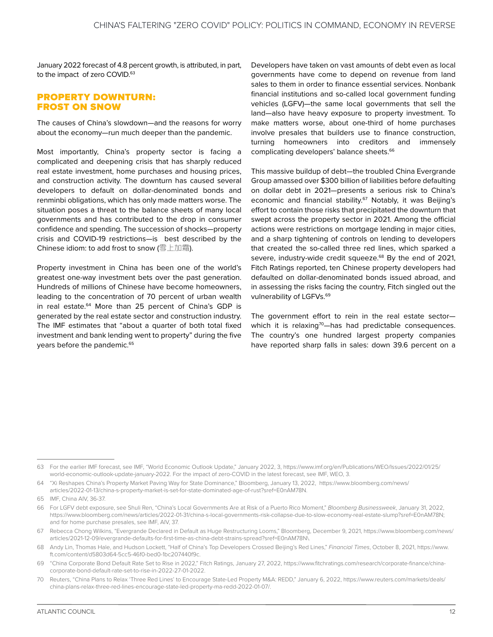<span id="page-16-0"></span>January 2022 forecast of 4.8 percent growth, is attributed, in part, to the impact of zero COVID.<sup>63</sup>

#### PROPERTY DOWNTURN: FROST ON SNOW

The causes of China's slowdown—and the reasons for worry about the economy—run much deeper than the pandemic.

Most importantly, China's property sector is facing a complicated and deepening crisis that has sharply reduced real estate investment, home purchases and housing prices, and construction activity. The downturn has caused several developers to default on dollar-denominated bonds and renminbi obligations, which has only made matters worse. The situation poses a threat to the balance sheets of many local governments and has contributed to the drop in consumer confidence and spending. The succession of shocks—property crisis and COVID-19 restrictions—is best described by the Chinese idiom: to add frost to snow (雪上加霜).

Property investment in China has been one of the world's greatest one-way investment bets over the past generation. Hundreds of millions of Chinese have become homeowners, leading to the concentration of 70 percent of urban wealth in real estate.<sup>64</sup> More than 25 percent of China's GDP is generated by the real estate sector and construction industry. The IMF estimates that "about a quarter of both total fixed investment and bank lending went to property" during the five years before the pandemic.<sup>65</sup>

Developers have taken on vast amounts of debt even as local governments have come to depend on revenue from land sales to them in order to finance essential services. Nonbank financial institutions and so-called local government funding vehicles (LGFV)—the same local governments that sell the land—also have heavy exposure to property investment. To make matters worse, about one-third of home purchases involve presales that builders use to finance construction, turning homeowners into creditors and immensely complicating developers' balance sheets.<sup>66</sup>

This massive buildup of debt—the troubled China Evergrande Group amassed over \$300 billion of liabilities before defaulting on dollar debt in 2021—presents a serious risk to China's economic and financial stability.<sup>67</sup> Notably, it was Beijing's effort to contain those risks that precipitated the downturn that swept across the property sector in 2021. Among the official actions were restrictions on mortgage lending in major cities, and a sharp tightening of controls on lending to developers that created the so-called three red lines, which sparked a severe, industry-wide credit squeeze.<sup>68</sup> By the end of 2021, Fitch Ratings reported, ten Chinese property developers had defaulted on dollar-denominated bonds issued abroad, and in assessing the risks facing the country, Fitch singled out the vulnerability of LGFVs.<sup>69</sup>

The government effort to rein in the real estate sector which it is relaxing<sup>70</sup>—has had predictable consequences. The country's one hundred largest property companies have reported sharp falls in sales: down 39.6 percent on a

<sup>63</sup> For the earlier IMF forecast, see IMF, "World Economic Outlook Update," January 2022, 3, [https://www.imf.org/en/Publications/WEO/Issues/2022/01/25/](https://www.imf.org/en/Publications/WEO/Issues/2022/01/25/world-economic-outlook-update-january-2022) [world-economic-outlook-update-january-2022](https://www.imf.org/en/Publications/WEO/Issues/2022/01/25/world-economic-outlook-update-january-2022). For the impact of zero-COVID in the latest forecast, see IMF, WEO, 3.

<sup>64</sup> "Xi Reshapes China's Property Market Paving Way for State Dominance," Bloomberg, January 13, 2022, [https://www.bloomberg.com/news/](https://www.bloomberg.com/news/articles/2022-01-13/china-s-property-market-is-set-for-state-dominated-age-of-rust?sref=E0nAM78N) [articles/2022-01-13/china-s-property-market-is-set-for-state-dominated-age-of-rust?sref=E0nAM78N](https://www.bloomberg.com/news/articles/2022-01-13/china-s-property-market-is-set-for-state-dominated-age-of-rust?sref=E0nAM78N).

<sup>65</sup> IMF, China AIV, 36-37.

<sup>66</sup> For LGFV debt exposure, see Shuli Ren, "China's Local Governments Are at Risk of a Puerto Rico Moment," *Bloomberg Businessweek*, January 31, 2022, [https://www.bloomberg.com/news/articles/2022-01-31/china-s-local-governments-risk-collapse-due-to-slow-economy-real-estate-slump?sref=E0nAM78N;](https://www.bloomberg.com/news/articles/2022-01-31/china-s-local-governments-risk-collapse-due-to-slow-economy-real-estate-slump?sref=E0nAM78N) and for home purchase presales, see IMF, AIV, 37.

<sup>67</sup> Rebecca Chong Wilkins, "Evergrande Declared in Default as Huge Restructuring Looms," Bloomberg, December 9, 2021, [https://www.bloomberg.com/news/](https://www.bloomberg.com/news/articles/2021-12-09/evergrande-defaults-for-first-time-as-china-debt-strains-spread?sref=E0nAM78N) [articles/2021-12-09/evergrande-defaults-for-first-time-as-china-debt-strains-spread?sref=E0nAM78N](https://www.bloomberg.com/news/articles/2021-12-09/evergrande-defaults-for-first-time-as-china-debt-strains-spread?sref=E0nAM78N)\.

<sup>68</sup> Andy Lin, Thomas Hale, and Hudson Lockett, "Half of China's Top Developers Crossed Beijing's Red Lines," *Financial Times*, October 8, 2021, [https://www.](https://www.ft.com/content/d5803d64-5cc5-46f0-bed0-1bc207440f9c) [ft.com/content/d5803d64-5cc5-46f0-bed0-1bc207440f9c.](https://www.ft.com/content/d5803d64-5cc5-46f0-bed0-1bc207440f9c)

<sup>69</sup> "China Corporate Bond Default Rate Set to Rise in 2022," Fitch Ratings, January 27, 2022, [https://www.fitchratings.com/research/corporate-finance/china](https://www.fitchratings.com/research/corporate-finance/china-corporate-bond-default-rate-set-to-rise-in-2022-27-01-2022)[corporate-bond-default-rate-set-to-rise-in-2022-27-01-2022.](https://www.fitchratings.com/research/corporate-finance/china-corporate-bond-default-rate-set-to-rise-in-2022-27-01-2022)

<sup>70</sup> Reuters, "China Plans to Relax 'Three Red Lines' to Encourage State-Led Property M&A: REDD," January 6, 2022, [https://www.reuters.com/markets/deals/](https://www.reuters.com/markets/deals/china-plans-relax-three-red-lines-encourage-state-led-property-ma-redd-2022-01-07/) [china-plans-relax-three-red-lines-encourage-state-led-property-ma-redd-2022-01-07/](https://www.reuters.com/markets/deals/china-plans-relax-three-red-lines-encourage-state-led-property-ma-redd-2022-01-07/).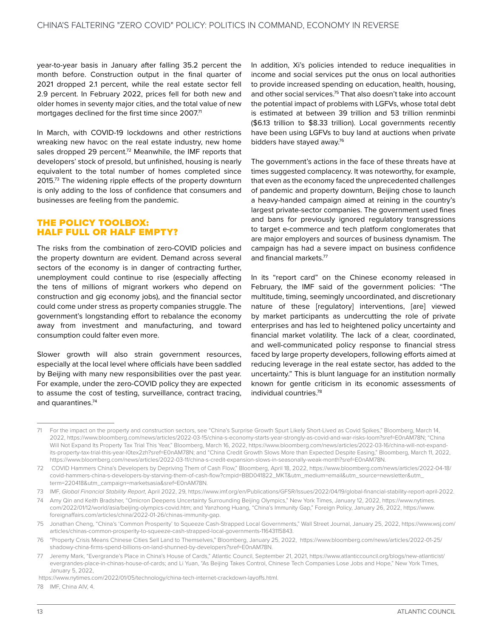<span id="page-17-0"></span>year-to-year basis in January after falling 35.2 percent the month before. Construction output in the final quarter of 2021 dropped 2.1 percent, while the real estate sector fell 2.9 percent. In February 2022, prices fell for both new and older homes in seventy major cities, and the total value of new mortgages declined for the first time since 2007.71

In March, with COVID-19 lockdowns and other restrictions wreaking new havoc on the real estate industry, new home sales dropped 29 percent.<sup>72</sup> Meanwhile, the IMF reports that developers' stock of presold, but unfinished, housing is nearly equivalent to the total number of homes completed since 2015.73 The widening ripple effects of the property downturn is only adding to the loss of confidence that consumers and businesses are feeling from the pandemic.

#### THE POLICY TOOLBOX: HALF FULL OR HALF EMPTY?

The risks from the combination of zero-COVID policies and the property downturn are evident. Demand across several sectors of the economy is in danger of contracting further, unemployment could continue to rise (especially affecting the tens of millions of migrant workers who depend on construction and gig economy jobs), and the financial sector could come under stress as property companies struggle. The government's longstanding effort to rebalance the economy away from investment and manufacturing, and toward consumption could falter even more.

Slower growth will also strain government resources, especially at the local level where officials have been saddled by Beijing with many new responsibilities over the past year. For example, under the zero-COVID policy they are expected to assume the cost of testing, surveillance, contract tracing, and quarantines.<sup>74</sup>

In addition, Xi's policies intended to reduce inequalities in income and social services put the onus on local authorities to provide increased spending on education, health, housing, and other social services.<sup>75</sup> That also doesn't take into account the potential impact of problems with LGFVs, whose total debt is estimated at between 39 trillion and 53 trillion renminbi (\$6.13 trillion to \$8.33 trillion). Local governments recently have been using LGFVs to buy land at auctions when private bidders have stayed away.76

The government's actions in the face of these threats have at times suggested complacency. It was noteworthy, for example, that even as the economy faced the unprecedented challenges of pandemic and property downturn, Beijing chose to launch a heavy-handed campaign aimed at reining in the country's largest private-sector companies. The government used fines and bans for previously ignored regulatory transgressions to target e-commerce and tech platform conglomerates that are major employers and sources of business dynamism. The campaign has had a severe impact on business confidence and financial markets.77

In its "report card" on the Chinese economy released in February, the IMF said of the government policies: "The multitude, timing, seemingly uncoordinated, and discretionary nature of these [regulatory] interventions, [are] viewed by market participants as undercutting the role of private enterprises and has led to heightened policy uncertainty and financial market volatility. The lack of a clear, coordinated, and well-communicated policy response to financial stress faced by large property developers, following efforts aimed at reducing leverage in the real estate sector, has added to the uncertainty." This is blunt language for an institution normally known for gentle criticism in its economic assessments of individual countries.78

<sup>71</sup> For the impact on the property and construction sectors, see "China's Surprise Growth Spurt Likely Short-Lived as Covid Spikes," Bloomberg, March 14, 2022, [https://www.bloomberg.com/news/articles/2022-03-15/china-s-economy-starts-year-strongly-as-covid-and-war-risks-loom?sref=E0nAM78N;](https://www.bloomberg.com/news/articles/2022-03-15/china-s-economy-starts-year-strongly-as-covid-and-war-risks-loom?sref=E0nAM78N) "China Will Not Expand Its Property Tax Trial This Year," Bloomberg, March 16, 2022, [https://www.bloomberg.com/news/articles/2022-03-16/china-will-not-expand](https://www.bloomberg.com/news/articles/2022-03-16/china-will-not-expand-its-property-tax-trial-this-year-l0tex2zh?sref=E0nAM78N)[its-property-tax-trial-this-year-l0tex2zh?sref=E0nAM78N](https://www.bloomberg.com/news/articles/2022-03-16/china-will-not-expand-its-property-tax-trial-this-year-l0tex2zh?sref=E0nAM78N); and "China Credit Growth Slows More than Expected Despite Easing," Bloomberg, March 11, 2022, [https://www.bloomberg.com/news/articles/2022-03-11/china-s-credit-expansion-slows-in-seasonally-weak-month?sref=E0nAM78N.](https://www.bloomberg.com/news/articles/2022-03-11/china-s-credit-expansion-slows-in-seasonally-weak-month?sref=E0nAM78N)

<sup>72</sup> COVID Hammers China's Developers by Depriving Them of Cash Flow," Bloomberg, April 18, 2022, [https://www.bloomberg.com/news/articles/2022-04-18/](https://www.bloomberg.com/news/articles/2022-04-18/covid-hammers-china-s-developers-by-starving-them-of-cash-flow?cmpid=BBD041822_MKT&utm_medium=email&utm_source=newsletter&utm_term=220418&utm_campaign=marketsasia&sref=E0nAM78N) [covid-hammers-china-s-developers-by-starving-them-of-cash-flow?cmpid=BBD041822\\_MKT&utm\\_medium=email&utm\\_source=newsletter&utm\\_](https://www.bloomberg.com/news/articles/2022-04-18/covid-hammers-china-s-developers-by-starving-them-of-cash-flow?cmpid=BBD041822_MKT&utm_medium=email&utm_source=newsletter&utm_term=220418&utm_campaign=marketsasia&sref=E0nAM78N) [term=220418&utm\\_campaign=marketsasia&sref=E0nAM78N.](https://www.bloomberg.com/news/articles/2022-04-18/covid-hammers-china-s-developers-by-starving-them-of-cash-flow?cmpid=BBD041822_MKT&utm_medium=email&utm_source=newsletter&utm_term=220418&utm_campaign=marketsasia&sref=E0nAM78N)

<sup>73</sup> IMF, *Global Financial Stability Report*, April 2022, 29, <https://www.imf.org/en/Publications/GFSR/Issues/2022/04/19/global-financial-stability-report-april-2022>.

<sup>74</sup> Amy Qin and Keith Bradsher, "Omicron Deepens Uncertainty Surrounding Beijing Olympics," New York Times, January 12, 2022, [https://www.nytimes.](https://www.nytimes.com/2022/01/12/world/asia/beijing-olympics-covid.htm) [com/2022/01/12/world/asia/beijing-olympics-covid.htm](https://www.nytimes.com/2022/01/12/world/asia/beijing-olympics-covid.htm); and Yanzhong Huang, "China's Immunity Gap," Foreign Policy, January 26, 2022, [https://www.](https://www.foreignaffairs.com/articles/china/2022-01-26/chinas-immunity-gap) [foreignaffairs.com/articles/china/2022-01-26/chinas-immunity-gap](https://www.foreignaffairs.com/articles/china/2022-01-26/chinas-immunity-gap).

<sup>75</sup> Jonathan Cheng, "China's 'Common Prosperity' to Squeeze Cash-Strapped Local Governments," Wall Street Journal, January 25, 2022, [https://www.wsj.com/](https://www.wsj.com/articles/chinas-common-prosperity-to-squeeze-cash-strapped-local-governments-11643115843) [articles/chinas-common-prosperity-to-squeeze-cash-strapped-local-governments-11643115843](https://www.wsj.com/articles/chinas-common-prosperity-to-squeeze-cash-strapped-local-governments-11643115843).

<sup>76</sup> "Property Crisis Means Chinese Cities Sell Land to Themselves," Bloomberg, January 25, 2022, [https://www.bloomberg.com/news/articles/2022-01-25/](https://www.bloomberg.com/news/articles/2022-01-25/shadowy-china-firms-spend-billions-on-land-shunned-by-developers?sref=E0nAM78N) [shadowy-china-firms-spend-billions-on-land-shunned-by-developers?sref=E0nAM78N](https://www.bloomberg.com/news/articles/2022-01-25/shadowy-china-firms-spend-billions-on-land-shunned-by-developers?sref=E0nAM78N).

Jeremy Mark, "Evergrande's Place in China's House of Cards," Atlantic Council, September 21, 2021, [https://www.atlanticcouncil.org/blogs/new-atlanticist/](https://www.atlanticcouncil.org/blogs/new-atlanticist/evergrandes-place-in-chinas-house-of-cards) [evergrandes-place-in-chinas-house-of-cards;](https://www.atlanticcouncil.org/blogs/new-atlanticist/evergrandes-place-in-chinas-house-of-cards) and Li Yuan, "As Beijing Takes Control, Chinese Tech Companies Lose Jobs and Hope," New York Times, January 5, 2022,

<https://www.nytimes.com/2022/01/05/technology/china-tech-internet-crackdown-layoffs.html>.

<sup>78</sup> IMF, China AIV, 4.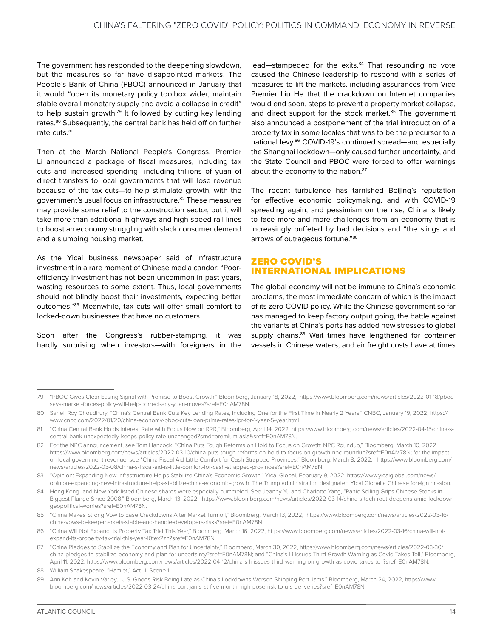<span id="page-18-0"></span>The government has responded to the deepening slowdown, but the measures so far have disappointed markets. The People's Bank of China (PBOC) announced in January that it would "open its monetary policy toolbox wider, maintain stable overall monetary supply and avoid a collapse in credit" to help sustain growth.<sup>79</sup> It followed by cutting key lending rates.80 Subsequently, the central bank has held off on further rate cuts.<sup>81</sup>

Then at the March National People's Congress, Premier Li announced a package of fiscal measures, including tax cuts and increased spending—including trillions of yuan of direct transfers to local governments that will lose revenue because of the tax cuts—to help stimulate growth, with the government's usual focus on infrastructure.82 These measures may provide some relief to the construction sector, but it will take more than additional highways and high-speed rail lines to boost an economy struggling with slack consumer demand and a slumping housing market.

As the Yicai business newspaper said of infrastructure investment in a rare moment of Chinese media candor: "Poorefficiency investment has not been uncommon in past years, wasting resources to some extent. Thus, local governments should not blindly boost their investments, expecting better outcomes."83 Meanwhile, tax cuts will offer small comfort to locked-down businesses that have no customers.

Soon after the Congress's rubber-stamping, it was hardly surprising when investors—with foreigners in the lead—stampeded for the exits.<sup>84</sup> That resounding no vote caused the Chinese leadership to respond with a series of measures to lift the markets, including assurances from Vice Premier Liu He that the crackdown on Internet companies would end soon, steps to prevent a property market collapse, and direct support for the stock market.<sup>85</sup> The government also announced a postponement of the trial introduction of a property tax in some locales that was to be the precursor to a national levy.<sup>86</sup> COVID-19's continued spread—and especially the Shanghai lockdown—only caused further uncertainty, and the State Council and PBOC were forced to offer warnings about the economy to the nation.<sup>87</sup>

The recent turbulence has tarnished Beijing's reputation for effective economic policymaking, and with COVID-19 spreading again, and pessimism on the rise, China is likely to face more and more challenges from an economy that is increasingly buffeted by bad decisions and "the slings and arrows of outrageous fortune."88

#### ZERO COVID'S INTERNATIONAL IMPLICATIONS

The global economy will not be immune to China's economic problems, the most immediate concern of which is the impact of its zero-COVID policy. While the Chinese government so far has managed to keep factory output going, the battle against the variants at China's ports has added new stresses to global supply chains.<sup>89</sup> Wait times have lengthened for container vessels in Chinese waters, and air freight costs have at times

<sup>79</sup> "PBOC Gives Clear Easing Signal with Promise to Boost Growth," Bloomberg, January 18, 2022, [https://www.bloomberg.com/news/articles/2022-01-18/pboc](https://www.bloomberg.com/news/articles/2022-01-18/pboc-says-market-forces-policy-will-help-correct-any-yuan-moves?sref=E0nAM78N)[says-market-forces-policy-will-help-correct-any-yuan-moves?sref=E0nAM78N.](https://www.bloomberg.com/news/articles/2022-01-18/pboc-says-market-forces-policy-will-help-correct-any-yuan-moves?sref=E0nAM78N)

<sup>80</sup> Saheli Roy Choudhury, "China's Central Bank Cuts Key Lending Rates, Including One for the First Time in Nearly 2 Years," CNBC, January 19, 2022, [https://](https://www.cnbc.com/2022/01/20/china-economy-pboc-cuts-loan-prime-rates-lpr-for-1-year-5-year.html) [www.cnbc.com/2022/01/20/china-economy-pboc-cuts-loan-prime-rates-lpr-for-1-year-5-year.html.](https://www.cnbc.com/2022/01/20/china-economy-pboc-cuts-loan-prime-rates-lpr-for-1-year-5-year.html)

<sup>81 &</sup>quot;China Central Bank Holds Interest Rate with Focus Now on RRR," Bloomberg, April 14, 2022, [https://www.bloomberg.com/news/articles/2022-04-15/china-s](https://www.bloomberg.com/news/articles/2022-04-15/china-s-central-bank-unexpectedly-keeps-policy-rate-unchanged?srnd=premium-asia&sref=E0nAM78N)[central-bank-unexpectedly-keeps-policy-rate-unchanged?srnd=premium-asia&sref=E0nAM78N.](https://www.bloomberg.com/news/articles/2022-04-15/china-s-central-bank-unexpectedly-keeps-policy-rate-unchanged?srnd=premium-asia&sref=E0nAM78N)

<sup>82</sup> For the NPC announcement, see Tom Hancock, "China Puts Tough Reforms on Hold to Focus on Growth: NPC Roundup," Bloomberg, March 10, 2022, <https://www.bloomberg.com/news/articles/2022-03-10/china-puts-tough-reforms-on-hold-to-focus-on-growth-npc-roundup?sref=E0nAM78N>; for the impact on local government revenue, see "China Fiscal Aid Little Comfort for Cash-Strapped Provinces," Bloomberg, March 8, 2022, [https://www.bloomberg.com/](https://www.bloomberg.com/news/articles/2022-03-08/china-s-fiscal-aid-is-little-comfort-for-cash-strapped-provinces?sref=E0nAM78N) [news/articles/2022-03-08/china-s-fiscal-aid-is-little-comfort-for-cash-strapped-provinces?sref=E0nAM78N](https://www.bloomberg.com/news/articles/2022-03-08/china-s-fiscal-aid-is-little-comfort-for-cash-strapped-provinces?sref=E0nAM78N).

<sup>83</sup> "Opinion: Expanding New Infrastructure Helps Stabilize China's Economic Growth," Yicai Global, February 9, 2022, [https://www.yicaiglobal.com/news/](https://www.yicaiglobal.com/news/opinion-expanding-new-infrastructure-helps-stabilize-china-economic-growth) [opinion-expanding-new-infrastructure-helps-stabilize-china-economic-growth.](https://www.yicaiglobal.com/news/opinion-expanding-new-infrastructure-helps-stabilize-china-economic-growth) The Trump administration designated Yicai Global a Chinese foreign mission.

<sup>84</sup> Hong Kong- and New York-listed Chinese shares were especially pummeled. See Jeanny Yu and Charlotte Yang, "Panic Selling Grips Chinese Stocks in Biggest Plunge Since 2008," Bloomberg, March 13, 2022, [https://www.bloomberg.com/news/articles/2022-03-14/china-s-tech-rout-deepens-amid-lockdown](https://www.bloomberg.com/news/articles/2022-03-14/china-s-tech-rout-deepens-amid-lockdown-geopolitical-worries?sref=E0nAM78N)[geopolitical-worries?sref=E0nAM78N](https://www.bloomberg.com/news/articles/2022-03-14/china-s-tech-rout-deepens-amid-lockdown-geopolitical-worries?sref=E0nAM78N).

<sup>85</sup> "China Makes Strong Vow to Ease Crackdowns After Market Turmoil," Bloomberg, March 13, 2022, [https://www.bloomberg.com/news/articles/2022-03-16/](https://www.bloomberg.com/news/articles/2022-03-16/china-vows-to-keep-markets-stable-and-handle-developers-risks?sref=E0nAM78N) [china-vows-to-keep-markets-stable-and-handle-developers-risks?sref=E0nAM78N.](https://www.bloomberg.com/news/articles/2022-03-16/china-vows-to-keep-markets-stable-and-handle-developers-risks?sref=E0nAM78N)

<sup>86</sup> "China Will Not Expand Its Property Tax Trial This Year," Bloomberg, March 16, 2022, [https://www.bloomberg.com/news/articles/2022-03-16/china-will-not](https://www.bloomberg.com/news/articles/2022-03-16/china-will-not-expand-its-property-tax-trial-this-year-l0tex2zh?sref=E0nAM78N)[expand-its-property-tax-trial-this-year-l0tex2zh?sref=E0nAM78N.](https://www.bloomberg.com/news/articles/2022-03-16/china-will-not-expand-its-property-tax-trial-this-year-l0tex2zh?sref=E0nAM78N)

<sup>87</sup> "China Pledges to Stabilize the Economy and Plan for Uncertainty," Bloomberg, March 30, 2022, [https://www.bloomberg.com/news/articles/2022-03-30/](https://www.bloomberg.com/news/articles/2022-03-30/china-pledges-to-stabilize-economy-and-plan-for-uncertainty?sref=E0nAM78N) [china-pledges-to-stabilize-economy-and-plan-for-uncertainty?sref=E0nAM78N](https://www.bloomberg.com/news/articles/2022-03-30/china-pledges-to-stabilize-economy-and-plan-for-uncertainty?sref=E0nAM78N); and "China's Li Issues Third Growth Warning as Covid Takes Toll," Bloomberg, April 11, 2022, [https://www.bloomberg.com/news/articles/2022-04-12/china-s-li-issues-third-warning-on-growth-as-covid-takes-toll?sref=E0nAM78N.](https://www.bloomberg.com/news/articles/2022-04-12/china-s-li-issues-third-warning-on-growth-as-covid-takes-toll?sref=E0nAM78N)

<sup>88</sup> William Shakespeare, "Hamlet," Act III, Scene 1.

<sup>89</sup> Ann Koh and Kevin Varley, "U.S. Goods Risk Being Late as China's Lockdowns Worsen Shipping Port Jams," Bloomberg, March 24, 2022, [https://www.](https://www.bloomberg.com/news/articles/2022-03-24/china-port-jams-at-five-month-high-pose-risk-to-u-s-deliveries?sref=E0nAM78N) [bloomberg.com/news/articles/2022-03-24/china-port-jams-at-five-month-high-pose-risk-to-u-s-deliveries?sref=E0nAM78N.](https://www.bloomberg.com/news/articles/2022-03-24/china-port-jams-at-five-month-high-pose-risk-to-u-s-deliveries?sref=E0nAM78N)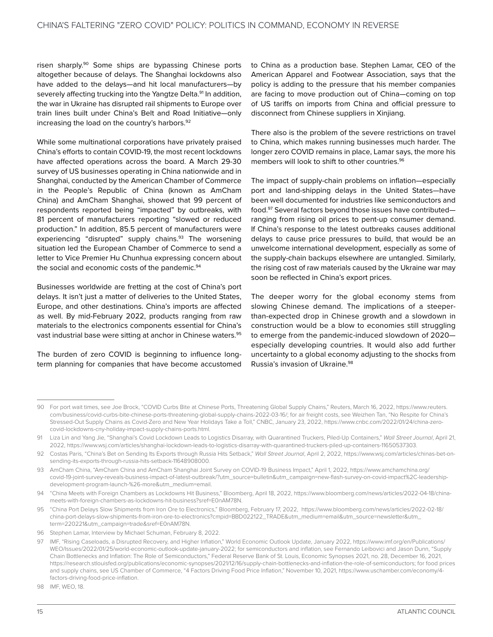risen sharply.<sup>90</sup> Some ships are bypassing Chinese ports altogether because of delays. The Shanghai lockdowns also have added to the delays—and hit local manufacturers—by severely affecting trucking into the Yangtze Delta.<sup>91</sup> In addition, the war in Ukraine has disrupted rail shipments to Europe over train lines built under China's Belt and Road Initiative—only increasing the load on the country's harbors.<sup>92</sup>

While some multinational corporations have privately praised China's efforts to contain COVID-19, the most recent lockdowns have affected operations across the board. A March 29-30 survey of US businesses operating in China nationwide and in Shanghai, conducted by the American Chamber of Commerce in the People's Republic of China (known as AmCham China) and AmCham Shanghai, showed that 99 percent of respondents reported being "impacted" by outbreaks, with 81 percent of manufacturers reporting "slowed or reduced production." In addition, 85.5 percent of manufacturers were experiencing "disrupted" supply chains.<sup>93</sup> The worsening situation led the European Chamber of Commerce to send a letter to Vice Premier Hu Chunhua expressing concern about the social and economic costs of the pandemic.<sup>94</sup>

Businesses worldwide are fretting at the cost of China's port delays. It isn't just a matter of deliveries to the United States, Europe, and other destinations. China's imports are affected as well. By mid-February 2022, products ranging from raw materials to the electronics components essential for China's vast industrial base were sitting at anchor in Chinese waters.<sup>95</sup>

The burden of zero COVID is beginning to influence longterm planning for companies that have become accustomed to China as a production base. Stephen Lamar, CEO of the American Apparel and Footwear Association, says that the policy is adding to the pressure that his member companies are facing to move production out of China—coming on top of US tariffs on imports from China and official pressure to disconnect from Chinese suppliers in Xinjiang.

There also is the problem of the severe restrictions on travel to China, which makes running businesses much harder. The longer zero COVID remains in place, Lamar says, the more his members will look to shift to other countries.<sup>96</sup>

The impact of supply-chain problems on inflation—especially port and land-shipping delays in the United States—have been well documented for industries like semiconductors and food.97 Several factors beyond those issues have contributed ranging from rising oil prices to pent-up consumer demand. If China's response to the latest outbreaks causes additional delays to cause price pressures to build, that would be an unwelcome international development, especially as some of the supply-chain backups elsewhere are untangled. Similarly, the rising cost of raw materials caused by the Ukraine war may soon be reflected in China's export prices.

The deeper worry for the global economy stems from slowing Chinese demand. The implications of a steeperthan-expected drop in Chinese growth and a slowdown in construction would be a blow to economies still struggling to emerge from the pandemic-induced slowdown of 2020 especially developing countries. It would also add further uncertainty to a global economy adjusting to the shocks from Russia's invasion of Ukraine.98

98 IMF WFO 18

<sup>90</sup> For port wait times, see Joe Brock, "COVID Curbs Bite at Chinese Ports, Threatening Global Supply Chains," Reuters, March 16, 2022, [https://www.reuters.](https://www.reuters.com/business/covid-curbs-bite-chinese-ports-threatening-global-supply-chains-2022-03-16/) [com/business/covid-curbs-bite-chinese-ports-threatening-global-supply-chains-2022-03-16/;](https://www.reuters.com/business/covid-curbs-bite-chinese-ports-threatening-global-supply-chains-2022-03-16/) for air freight costs, see Weizhen Tan, "No Respite for China's Stressed-Out Supply Chains as Covid-Zero and New Year Holidays Take a Toll," CNBC, January 23, 2022, [https://www.cnbc.com/2022/01/24/china-zero](https://www.cnbc.com/2022/01/24/china-zero-covid-lockdowns-cny-holiday-impact-supply-chains-ports.html)[covid-lockdowns-cny-holiday-impact-supply-chains-ports.html.](https://www.cnbc.com/2022/01/24/china-zero-covid-lockdowns-cny-holiday-impact-supply-chains-ports.html)

<sup>91</sup> Liza Lin and Yang Jie, "Shanghai's Covid Lockdown Leads to Logistics Disarray, with Quarantined Truckers, Piled-Up Containers," *Wall Street Journal*, April 21, 2022, [https://www.wsj.com/articles/shanghai-lockdown-leads-to-logistics-disarray-with-quarantined-truckers-piled-up-containers-11650537303.](https://www.wsj.com/articles/shanghai-lockdown-leads-to-logistics-disarray-with-quarantined-truckers-piled-up-containers-11650537303)

<sup>92</sup> Costas Paris, "China's Bet on Sending Its Exports through Russia Hits Setback," *Wall Street Journal*, April 2, 2022, [https://www.wsj.com/articles/chinas-bet-on](https://www.wsj.com/articles/chinas-bet-on-sending-its-exports-through-russia-hits-setback-11648908000)[sending-its-exports-through-russia-hits-setback-11648908000](https://www.wsj.com/articles/chinas-bet-on-sending-its-exports-through-russia-hits-setback-11648908000).

<sup>93</sup> AmCham China, "AmCham China and AmCham Shanghai Joint Survey on COVID-19 Business Impact," April 1, 2022, [https://www.amchamchina.org/](https://www.amchamchina.org/covid-19-joint-survey-reveals-business-impact-of-latest-outbreak/?utm_source=bulletin&utm_campaign=new-flash-survey-on-covid-impact%2C-leadership-development-program-launch-%26-more&utm_medium=email) [covid-19-joint-survey-reveals-business-impact-of-latest-outbreak/?utm\\_source=bulletin&utm\\_campaign=new-flash-survey-on-covid-impact%2C-leadership](https://www.amchamchina.org/covid-19-joint-survey-reveals-business-impact-of-latest-outbreak/?utm_source=bulletin&utm_campaign=new-flash-survey-on-covid-impact%2C-leadership-development-program-launch-%26-more&utm_medium=email)[development-program-launch-%26-more&utm\\_medium=email.](https://www.amchamchina.org/covid-19-joint-survey-reveals-business-impact-of-latest-outbreak/?utm_source=bulletin&utm_campaign=new-flash-survey-on-covid-impact%2C-leadership-development-program-launch-%26-more&utm_medium=email)

<sup>94</sup> "China Meets with Foreign Chambers as Lockdowns Hit Business," Bloomberg, April 18, 2022, [https://www.bloomberg.com/news/articles/2022-04-18/china](https://www.bloomberg.com/news/articles/2022-04-18/china-meets-with-foreign-chambers-as-lockdowns-hit-business?sref=E0nAM78N)[meets-with-foreign-chambers-as-lockdowns-hit-business?sref=E0nAM78N.](https://www.bloomberg.com/news/articles/2022-04-18/china-meets-with-foreign-chambers-as-lockdowns-hit-business?sref=E0nAM78N)

<sup>95</sup> "China Port Delays Slow Shipments from Iron Ore to Electronics," Bloomberg, February 17, 2022, [https://www.bloomberg.com/news/articles/2022-02-18/](https://www.bloomberg.com/news/articles/2022-02-18/china-port-delays-slow-shipments-from-iron-ore-to-electronics?cmpid=BBD022122_TRADE&utm_medium=email&utm_source=newsletter&utm_term=220221&utm_campaign=trade&sref=E0nAM78N) [china-port-delays-slow-shipments-from-iron-ore-to-electronics?cmpid=BBD022122\\_TRADE&utm\\_medium=email&utm\\_source=newsletter&utm\\_](https://www.bloomberg.com/news/articles/2022-02-18/china-port-delays-slow-shipments-from-iron-ore-to-electronics?cmpid=BBD022122_TRADE&utm_medium=email&utm_source=newsletter&utm_term=220221&utm_campaign=trade&sref=E0nAM78N) [term=220221&utm\\_campaign=trade&sref=E0nAM78N](https://www.bloomberg.com/news/articles/2022-02-18/china-port-delays-slow-shipments-from-iron-ore-to-electronics?cmpid=BBD022122_TRADE&utm_medium=email&utm_source=newsletter&utm_term=220221&utm_campaign=trade&sref=E0nAM78N).

<sup>96</sup> Stephen Lamar, Interview by Michael Schuman, February 8, 2022.

<sup>97</sup> IMF, "Rising Caseloads, a Disrupted Recovery, and Higher Inflation," World Economic Outlook Update, January 2022, [https://www.imf.org/en/Publications/](https://www.imf.org/en/Publications/WEO/Issues/2022/01/25/world-economic-outlook-update-january-2022) [WEO/Issues/2022/01/25/world-economic-outlook-update-january-2022;](https://www.imf.org/en/Publications/WEO/Issues/2022/01/25/world-economic-outlook-update-january-2022) for semiconductors and inflation, see Fernando Leibovici and Jason Dunn, "Supply Chain Bottlenecks and Inflation: The Role of Semiconductors," Federal Reserve Bank of St. Louis, Economic Synopses 2021, no. 28, December 16, 2021, [https://research.stlouisfed.org/publications/economic-synopses/2021/12/16/supply-chain-bottlenecks-and-inflation-the-role-of-semiconductors;](https://research.stlouisfed.org/publications/economic-synopses/2021/12/16/supply-chain-bottlenecks-and-inflation-the-role-of-semiconductors) for food prices and supply chains, see US Chamber of Commerce, "4 Factors Driving Food Price Inflation," November 10, 2021, [https://www.uschamber.com/economy/4](https://www.uschamber.com/economy/4-factors-driving-food-price-inflation) [factors-driving-food-price-inflation.](https://www.uschamber.com/economy/4-factors-driving-food-price-inflation)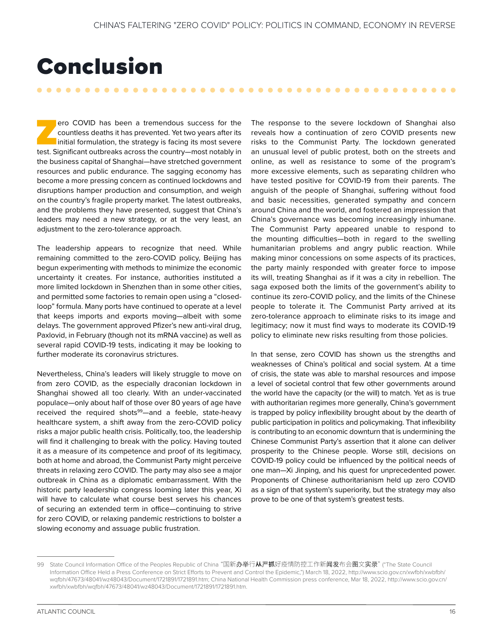### <span id="page-20-0"></span>Conclusion

ero COVID has been a tremendous success for the<br>countless deaths it has prevented. Yet two years after its<br>initial formulation, the strategy is facing its most severe<br>test. Significant outbreaks across the country—most not countless deaths it has prevented. Yet two years after its initial formulation, the strategy is facing its most severe test. Significant outbreaks across the country—most notably in the business capital of Shanghai—have stretched government resources and public endurance. The sagging economy has become a more pressing concern as continued lockdowns and disruptions hamper production and consumption, and weigh on the country's fragile property market. The latest outbreaks, and the problems they have presented, suggest that China's leaders may need a new strategy, or at the very least, an adjustment to the zero-tolerance approach.

The leadership appears to recognize that need. While remaining committed to the zero-COVID policy, Beijing has begun experimenting with methods to minimize the economic uncertainty it creates. For instance, authorities instituted a more limited lockdown in Shenzhen than in some other cities, and permitted some factories to remain open using a "closedloop" formula. Many ports have continued to operate at a level that keeps imports and exports moving—albeit with some delays. The government approved Pfizer's new anti-viral drug, Paxlovid, in February (though not its mRNA vaccine) as well as several rapid COVID-19 tests, indicating it may be looking to further moderate its coronavirus strictures.

Nevertheless, China's leaders will likely struggle to move on from zero COVID, as the especially draconian lockdown in Shanghai showed all too clearly. With an under-vaccinated populace—only about half of those over 80 years of age have received the required shots<sup>99</sup>—and a feeble, state-heavy healthcare system, a shift away from the zero-COVID policy risks a major public health crisis. Politically, too, the leadership will find it challenging to break with the policy. Having touted it as a measure of its competence and proof of its legitimacy, both at home and abroad, the Communist Party might perceive threats in relaxing zero COVID. The party may also see a major outbreak in China as a diplomatic embarrassment. With the historic party leadership congress looming later this year, Xi will have to calculate what course best serves his chances of securing an extended term in office—continuing to strive for zero COVID, or relaxing pandemic restrictions to bolster a slowing economy and assuage public frustration.

The response to the severe lockdown of Shanghai also reveals how a continuation of zero COVID presents new risks to the Communist Party. The lockdown generated an unusual level of public protest, both on the streets and online, as well as resistance to some of the program's more excessive elements, such as separating children who have tested positive for COVID-19 from their parents. The anguish of the people of Shanghai, suffering without food and basic necessities, generated sympathy and concern around China and the world, and fostered an impression that China's governance was becoming increasingly inhumane. The Communist Party appeared unable to respond to the mounting difficulties—both in regard to the swelling humanitarian problems and angry public reaction. While making minor concessions on some aspects of its practices, the party mainly responded with greater force to impose its will, treating Shanghai as if it was a city in rebellion. The saga exposed both the limits of the government's ability to continue its zero-COVID policy, and the limits of the Chinese people to tolerate it. The Communist Party arrived at its zero-tolerance approach to eliminate risks to its image and legitimacy; now it must find ways to moderate its COVID-19 policy to eliminate new risks resulting from those policies.

In that sense, zero COVID has shown us the strengths and weaknesses of China's political and social system. At a time of crisis, the state was able to marshal resources and impose a level of societal control that few other governments around the world have the capacity (or the will) to match. Yet as is true with authoritarian regimes more generally, China's government is trapped by policy inflexibility brought about by the dearth of public participation in politics and policymaking. That inflexibility is contributing to an economic downturn that is undermining the Chinese Communist Party's assertion that it alone can deliver prosperity to the Chinese people. Worse still, decisions on COVID-19 policy could be influenced by the political needs of one man—Xi Jinping, and his quest for unprecedented power. Proponents of Chinese authoritarianism held up zero COVID as a sign of that system's superiority, but the strategy may also prove to be one of that system's greatest tests.

<sup>99</sup> State Council Information Office of the Peoples Republic of China "国新办举行从严抓好疫情防控工作新闻发布会图文实录" ("The State Council Information Office Held a Press Conference on Strict Efforts to Prevent and Control the Epidemic,") March 18, 2022, [http://www.scio.gov.cn/xwfbh/xwbfbh/](http://www.scio.gov.cn/xwfbh/xwbfbh/wqfbh/47673/48041/wz48043/Document/1721891/1721891.htm) [wqfbh/47673/48041/wz48043/Document/1721891/1721891.htm;](http://www.scio.gov.cn/xwfbh/xwbfbh/wqfbh/47673/48041/wz48043/Document/1721891/1721891.htm) China National Health Commission press conference, Mar 18, 2022, [http://www.scio.gov.cn/](http://www.scio.gov.cn/xwfbh/xwbfbh/wqfbh/47673/48041/wz48043/Document/1721891/1721891.htm) [xwfbh/xwbfbh/wqfbh/47673/48041/wz48043/Document/1721891/1721891.htm.](http://www.scio.gov.cn/xwfbh/xwbfbh/wqfbh/47673/48041/wz48043/Document/1721891/1721891.htm)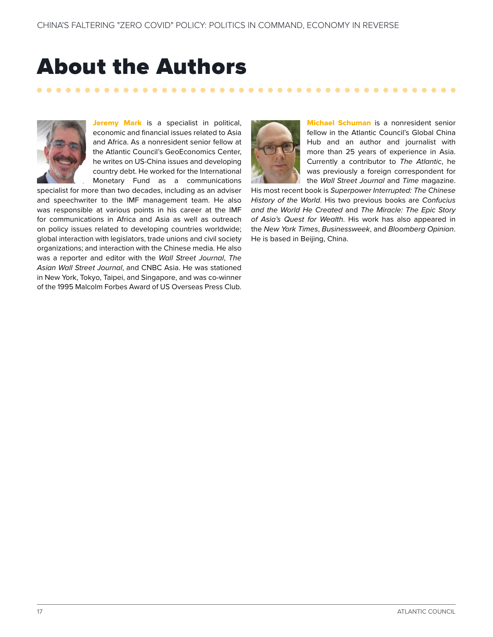### <span id="page-21-0"></span>About the Authors

. . . . . . . . . . . . . . .



Jeremy Mark is a specialist in political, economic and financial issues related to Asia and Africa. As a nonresident senior fellow at the Atlantic Council's GeoEconomics Center, he writes on US-China issues and developing country debt. He worked for the International Monetary Fund as a communications

specialist for more than two decades, including as an adviser and speechwriter to the IMF management team. He also was responsible at various points in his career at the IMF for communications in Africa and Asia as well as outreach on policy issues related to developing countries worldwide; global interaction with legislators, trade unions and civil society organizations; and interaction with the Chinese media. He also was a reporter and editor with the *Wall Street Journal*, *The Asian Wall Street Journal*, and CNBC Asia. He was stationed in New York, Tokyo, Taipei, and Singapore, and was co-winner of the 1995 Malcolm Forbes Award of US Overseas Press Club.



**Michael Schuman** is a nonresident senior fellow in the Atlantic Council's Global China Hub and an author and journalist with more than 25 years of experience in Asia. Currently a contributor to *The Atlantic*, he was previously a foreign correspondent for the *Wall Street Journal* and *Time* magazine.

His most recent book is *Superpower Interrupted: The Chinese History of the World*. His two previous books are *Confucius and the World He Created* and *The Miracle: The Epic Story of Asia's Quest for Wealth*. His work has also appeared in the *New York Times*, *Businessweek*, and *Bloomberg Opinion*. He is based in Beijing, China.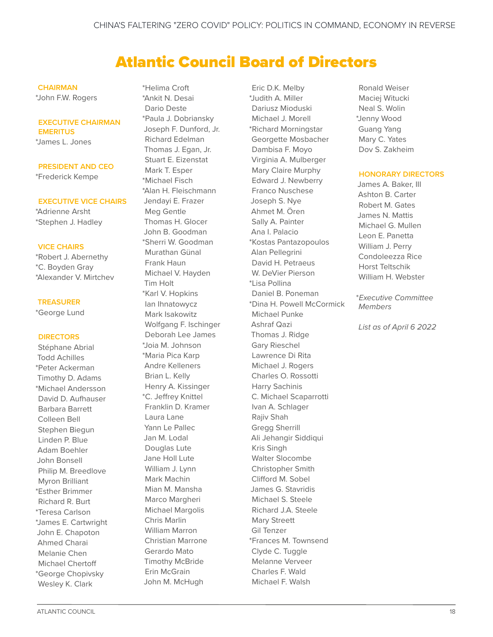### Atlantic Council Board of Directors

#### **CHAIRMAN**

\*John F.W. Rogers

#### **EXECUTIVE CHAIRMAN EMERITUS**

\*James L. Jones

#### **PRESIDENT AND CEO**

\*Frederick Kempe

#### **EXECUTIVE VICE CHAIRS**

\*Adrienne Arsht \*Stephen J. Hadley

#### **VICE CHAIRS**

\*Robert J. Abernethy \*C. Boyden Gray \*Alexander V. Mirtchev

#### **TREASURER**

\*George Lund

#### **DIRECTORS**

Stéphane Abrial Todd Achilles \*Peter Ackerman Timothy D. Adams \*Michael Andersson David D. Aufhauser Barbara Barrett Colleen Bell Stephen Biegun Linden P. Blue Adam Boehler John Bonsell Philip M. Breedlove Myron Brilliant \*Esther Brimmer Richard R. Burt \*Teresa Carlson \*James E. Cartwright John E. Chapoton Ahmed Charai Melanie Chen Michael Chertoff \*George Chopivsky Wesley K. Clark

\*Helima Croft \*Ankit N. Desai Dario Deste \*Paula J. Dobriansky Joseph F. Dunford, Jr. Richard Edelman Thomas J. Egan, Jr. Stuart E. Eizenstat Mark T. Esper \*Michael Fisch \*Alan H. Fleischmann Jendayi E. Frazer Meg Gentle Thomas H. Glocer John B. Goodman \*Sherri W. Goodman Murathan Günal Frank Haun Michael V. Hayden Tim Holt \*Karl V. Hopkins Ian Ihnatowycz Mark Isakowitz Wolfgang F. Ischinger Deborah Lee James \*Joia M. Johnson \*Maria Pica Karp Andre Kelleners Brian L. Kelly Henry A. Kissinger \*C. Jeffrey Knittel Franklin D. Kramer Laura Lane Yann Le Pallec Jan M. Lodal Douglas Lute Jane Holl Lute William J. Lynn Mark Machin Mian M. Mansha Marco Margheri Michael Margolis Chris Marlin William Marron Christian Marrone Gerardo Mato Timothy McBride Erin McGrain John M. McHugh

Eric D.K. Melby \*Judith A. Miller Dariusz Mioduski Michael J. Morell \*Richard Morningstar Georgette Mosbacher Dambisa F. Moyo Virginia A. Mulberger Mary Claire Murphy Edward J. Newberry Franco Nuschese Joseph S. Nye Ahmet M. Ören Sally A. Painter Ana I. Palacio \*Kostas Pantazopoulos Alan Pellegrini David H. Petraeus W. DeVier Pierson \*Lisa Pollina Daniel B. Poneman \*Dina H. Powell McCormick Michael Punke Ashraf Qazi Thomas J. Ridge Gary Rieschel Lawrence Di Rita Michael J. Rogers Charles O. Rossotti Harry Sachinis C. Michael Scaparrotti Ivan A. Schlager Rajiv Shah Gregg Sherrill Ali Jehangir Siddiqui Kris Singh Walter Slocombe Christopher Smith Clifford M. Sobel James G. Stavridis Michael S. Steele Richard J.A. Steele Mary Streett Gil Tenzer \*Frances M. Townsend Clyde C. Tuggle Melanne Verveer Charles F. Wald Michael F. Walsh

Ronald Weiser Maciej Witucki Neal S. Wolin \*Jenny Wood Guang Yang Mary C. Yates Dov S. Zakheim

#### **HONORARY DIRECTORS**

James A. Baker, III Ashton B. Carter Robert M. Gates James N. Mattis Michael G. Mullen Leon E. Panetta William J. Perry Condoleezza Rice Horst Teltschik William H. Webster

\**Executive Committee Members*

*List as of April 6 2022*